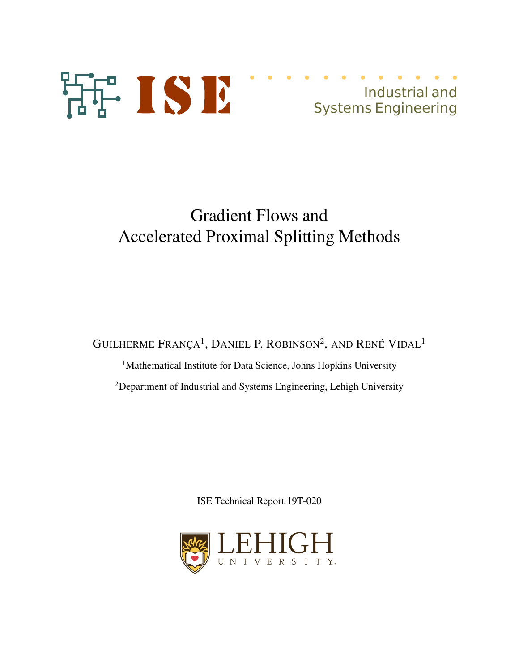

# Gradient Flows and Accelerated Proximal Splitting Methods

GUILHERME  $\text{França}^1$ , Daniel P. Robinson<sup>2</sup>, and René Vidal<sup>1</sup>

<sup>1</sup>Mathematical Institute for Data Science, Johns Hopkins University <sup>2</sup>Department of Industrial and Systems Engineering, Lehigh University

ISE Technical Report 19T-020

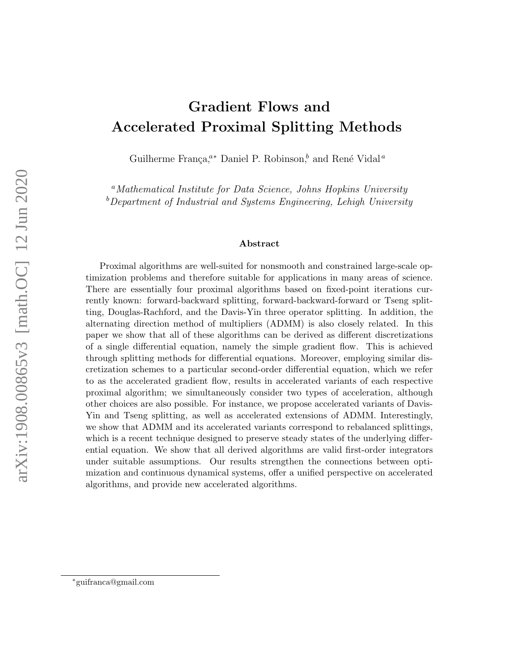# Gradient Flows and Accelerated Proximal Splitting Methods

Guilherme França,<sup>a∗</sup> Daniel P. Robinson,<sup>b</sup> and René Vidal<sup>*a*</sup>

<sup>a</sup>Mathematical Institute for Data Science, Johns Hopkins University  $b$  Department of Industrial and Systems Engineering, Lehigh University

#### Abstract

Proximal algorithms are well-suited for nonsmooth and constrained large-scale optimization problems and therefore suitable for applications in many areas of science. There are essentially four proximal algorithms based on fixed-point iterations currently known: forward-backward splitting, forward-backward-forward or Tseng splitting, Douglas-Rachford, and the Davis-Yin three operator splitting. In addition, the alternating direction method of multipliers (ADMM) is also closely related. In this paper we show that all of these algorithms can be derived as different discretizations of a single differential equation, namely the simple gradient flow. This is achieved through splitting methods for differential equations. Moreover, employing similar discretization schemes to a particular second-order differential equation, which we refer to as the accelerated gradient flow, results in accelerated variants of each respective proximal algorithm; we simultaneously consider two types of acceleration, although other choices are also possible. For instance, we propose accelerated variants of Davis-Yin and Tseng splitting, as well as accelerated extensions of ADMM. Interestingly, we show that ADMM and its accelerated variants correspond to rebalanced splittings, which is a recent technique designed to preserve steady states of the underlying differential equation. We show that all derived algorithms are valid first-order integrators under suitable assumptions. Our results strengthen the connections between optimization and continuous dynamical systems, offer a unified perspective on accelerated algorithms, and provide new accelerated algorithms.

<sup>∗</sup>guifranca@gmail.com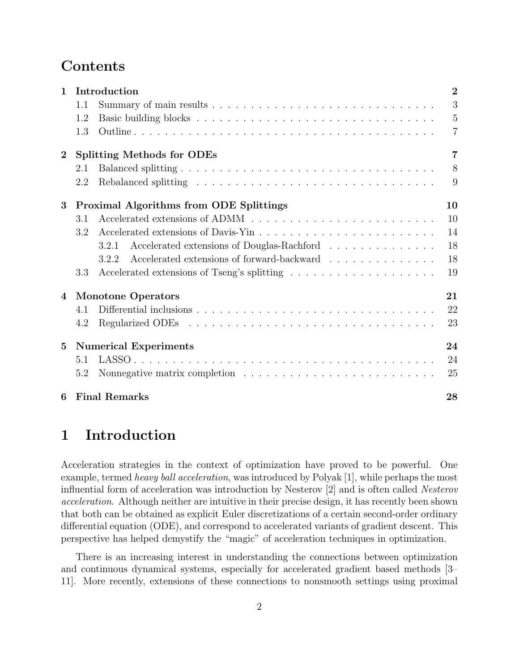## Contents

| $\mathbf{1}$     | Introduction                                                                             | $\overline{2}$ |
|------------------|------------------------------------------------------------------------------------------|----------------|
|                  | 1.1                                                                                      | 3              |
|                  | 1.2                                                                                      | $\overline{5}$ |
|                  | 1.3                                                                                      | $\overline{7}$ |
| $\boldsymbol{2}$ | <b>Splitting Methods for ODEs</b>                                                        | $\overline{7}$ |
|                  | 2.1                                                                                      | 8              |
|                  | 2.2                                                                                      | 9              |
| 3                | <b>Proximal Algorithms from ODE Splittings</b>                                           | 10             |
|                  | 3.1                                                                                      | <sup>10</sup>  |
|                  | 3.2                                                                                      | 14             |
|                  | Accelerated extensions of Douglas-Rachford $\ldots \ldots \ldots \ldots$<br>3.2.1        | 18             |
|                  | Accelerated extensions of forward-backward $\ldots \ldots \ldots \ldots \ldots$<br>3.2.2 | 18             |
|                  | 3.3                                                                                      | 19             |
| $\overline{4}$   | <b>Monotone Operators</b>                                                                | 21             |
|                  | 4.1                                                                                      | 22             |
|                  | 4.2                                                                                      | 23             |
| $5\overline{)}$  | <b>Numerical Experiments</b>                                                             | 24             |
|                  | 5.1                                                                                      | 24             |
|                  | 5.2                                                                                      | 25             |
| 6                | <b>Final Remarks</b>                                                                     | 28             |

## 1 Introduction

Acceleration strategies in the context of optimization have proved to be powerful. One example, termed heavy ball acceleration, was introduced by Polyak [1], while perhaps the most influential form of acceleration was introduction by Nesterov [2] and is often called Nesterov acceleration. Although neither are intuitive in their precise design, it has recently been shown that both can be obtained as explicit Euler discretizations of a certain second-order ordinary differential equation (ODE), and correspond to accelerated variants of gradient descent. This perspective has helped demystify the "magic" of acceleration techniques in optimization.

There is an increasing interest in understanding the connections between optimization and continuous dynamical systems, especially for accelerated gradient based methods [3– 11]. More recently, extensions of these connections to nonsmooth settings using proximal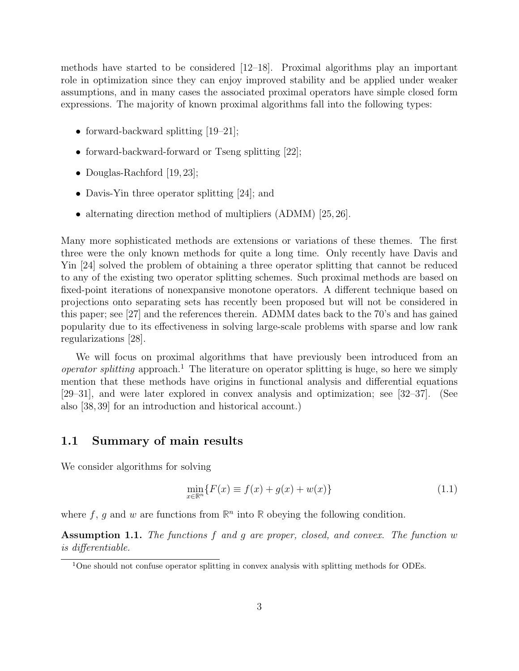methods have started to be considered [12–18]. Proximal algorithms play an important role in optimization since they can enjoy improved stability and be applied under weaker assumptions, and in many cases the associated proximal operators have simple closed form expressions. The majority of known proximal algorithms fall into the following types:

- forward-backward splitting [19–21];
- forward-backward-forward or Tseng splitting [22];
- Douglas-Rachford [19, 23];
- Davis-Yin three operator splitting [24]; and
- alternating direction method of multipliers (ADMM) [25, 26].

Many more sophisticated methods are extensions or variations of these themes. The first three were the only known methods for quite a long time. Only recently have Davis and Yin [24] solved the problem of obtaining a three operator splitting that cannot be reduced to any of the existing two operator splitting schemes. Such proximal methods are based on fixed-point iterations of nonexpansive monotone operators. A different technique based on projections onto separating sets has recently been proposed but will not be considered in this paper; see [27] and the references therein. ADMM dates back to the 70's and has gained popularity due to its effectiveness in solving large-scale problems with sparse and low rank regularizations [28].

We will focus on proximal algorithms that have previously been introduced from an *operator splitting* approach.<sup>1</sup> The literature on operator splitting is huge, so here we simply mention that these methods have origins in functional analysis and differential equations [29–31], and were later explored in convex analysis and optimization; see [32–37]. (See also [38, 39] for an introduction and historical account.)

### 1.1 Summary of main results

We consider algorithms for solving

$$
\min_{x \in \mathbb{R}^n} \{ F(x) \equiv f(x) + g(x) + w(x) \}
$$
\n(1.1)

where  $f$ ,  $g$  and  $w$  are functions from  $\mathbb{R}^n$  into  $\mathbb{R}$  obeying the following condition.

Assumption 1.1. The functions f and g are proper, closed, and convex. The function w is differentiable.

<sup>&</sup>lt;sup>1</sup>One should not confuse operator splitting in convex analysis with splitting methods for ODEs.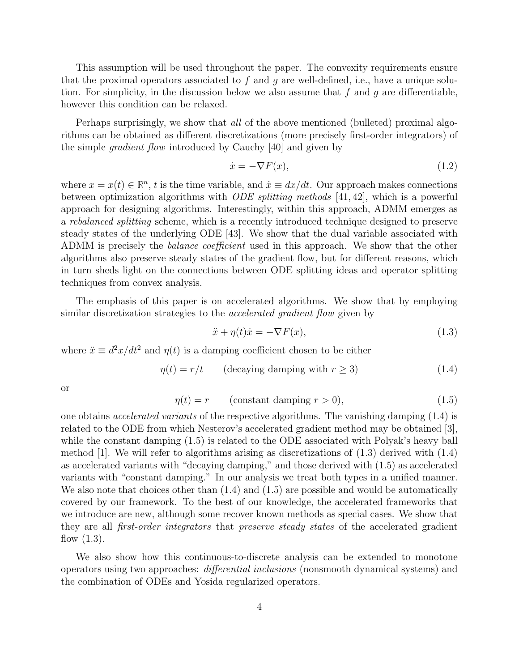This assumption will be used throughout the paper. The convexity requirements ensure that the proximal operators associated to f and g are well-defined, i.e., have a unique solution. For simplicity, in the discussion below we also assume that  $f$  and  $g$  are differentiable, however this condition can be relaxed.

Perhaps surprisingly, we show that *all* of the above mentioned (bulleted) proximal algorithms can be obtained as different discretizations (more precisely first-order integrators) of the simple gradient flow introduced by Cauchy [40] and given by

$$
\dot{x} = -\nabla F(x),\tag{1.2}
$$

where  $x = x(t) \in \mathbb{R}^n$ , t is the time variable, and  $\dot{x} \equiv dx/dt$ . Our approach makes connections between optimization algorithms with *ODE splitting methods* [41, 42], which is a powerful approach for designing algorithms. Interestingly, within this approach, ADMM emerges as a rebalanced splitting scheme, which is a recently introduced technique designed to preserve steady states of the underlying ODE [43]. We show that the dual variable associated with ADMM is precisely the *balance coefficient* used in this approach. We show that the other algorithms also preserve steady states of the gradient flow, but for different reasons, which in turn sheds light on the connections between ODE splitting ideas and operator splitting techniques from convex analysis.

The emphasis of this paper is on accelerated algorithms. We show that by employing similar discretization strategies to the *accelerated gradient flow* given by

$$
\ddot{x} + \eta(t)\dot{x} = -\nabla F(x),\tag{1.3}
$$

where  $\ddot{x} \equiv d^2x/dt^2$  and  $\eta(t)$  is a damping coefficient chosen to be either

$$
\eta(t) = r/t \qquad \text{(decaying damping with } r \ge 3\text{)}\tag{1.4}
$$

or

$$
\eta(t) = r \qquad \text{(constant damping } r > 0), \tag{1.5}
$$

one obtains accelerated variants of the respective algorithms. The vanishing damping (1.4) is related to the ODE from which Nesterov's accelerated gradient method may be obtained [3], while the constant damping (1.5) is related to the ODE associated with Polyak's heavy ball method [1]. We will refer to algorithms arising as discretizations of  $(1.3)$  derived with  $(1.4)$ as accelerated variants with "decaying damping," and those derived with (1.5) as accelerated variants with "constant damping." In our analysis we treat both types in a unified manner. We also note that choices other than  $(1.4)$  and  $(1.5)$  are possible and would be automatically covered by our framework. To the best of our knowledge, the accelerated frameworks that we introduce are new, although some recover known methods as special cases. We show that they are all first-order integrators that preserve steady states of the accelerated gradient flow  $(1.3)$ .

We also show how this continuous-to-discrete analysis can be extended to monotone operators using two approaches: differential inclusions (nonsmooth dynamical systems) and the combination of ODEs and Yosida regularized operators.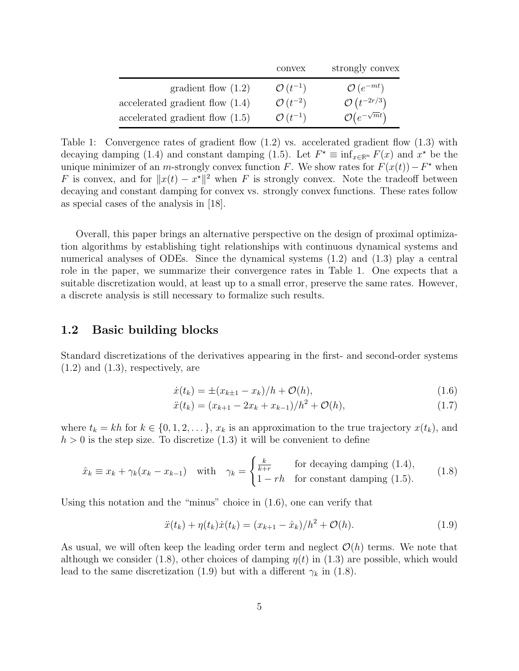|                                   | convex                | strongly convex               |
|-----------------------------------|-----------------------|-------------------------------|
| gradient flow $(1.2)$             | $\mathcal{O}(t^{-1})$ | $\mathcal{O}(e^{-mt})$        |
| accelerated gradient flow $(1.4)$ | $\mathcal{O}(t^{-2})$ | $\mathcal{O}(t^{-2r/3})$      |
| accelerated gradient flow $(1.5)$ | $\mathcal{O}(t^{-1})$ | $\mathcal{O}(e^{-\sqrt{m}t})$ |

Table 1: Convergence rates of gradient flow  $(1.2)$  vs. accelerated gradient flow  $(1.3)$  with decaying damping (1.4) and constant damping (1.5). Let  $F^* \equiv \inf_{x \in \mathbb{R}^n} F(x)$  and  $x^*$  be the unique minimizer of an m-strongly convex function F. We show rates for  $F(x(t)) - F^*$  when F is convex, and for  $||x(t) - x^*||^2$  when F is strongly convex. Note the tradeoff between decaying and constant damping for convex vs. strongly convex functions. These rates follow as special cases of the analysis in [18].

Overall, this paper brings an alternative perspective on the design of proximal optimization algorithms by establishing tight relationships with continuous dynamical systems and numerical analyses of ODEs. Since the dynamical systems (1.2) and (1.3) play a central role in the paper, we summarize their convergence rates in Table 1. One expects that a suitable discretization would, at least up to a small error, preserve the same rates. However, a discrete analysis is still necessary to formalize such results.

### 1.2 Basic building blocks

Standard discretizations of the derivatives appearing in the first- and second-order systems  $(1.2)$  and  $(1.3)$ , respectively, are

$$
\dot{x}(t_k) = \pm (x_{k\pm 1} - x_k)/h + \mathcal{O}(h),\tag{1.6}
$$

$$
\ddot{x}(t_k) = (x_{k+1} - 2x_k + x_{k-1})/h^2 + \mathcal{O}(h),\tag{1.7}
$$

where  $t_k = kh$  for  $k \in \{0, 1, 2, \ldots\}$ ,  $x_k$  is an approximation to the true trajectory  $x(t_k)$ , and  $h > 0$  is the step size. To discretize (1.3) it will be convenient to define

$$
\hat{x}_k \equiv x_k + \gamma_k (x_k - x_{k-1}) \quad \text{with} \quad \gamma_k = \begin{cases} \frac{k}{k+r} & \text{for decaying damping (1.4)},\\ 1-rh & \text{for constant damping (1.5)}. \end{cases} \tag{1.8}
$$

Using this notation and the "minus" choice in (1.6), one can verify that

$$
\ddot{x}(t_k) + \eta(t_k)\dot{x}(t_k) = (x_{k+1} - \hat{x}_k)/h^2 + \mathcal{O}(h). \tag{1.9}
$$

As usual, we will often keep the leading order term and neglect  $\mathcal{O}(h)$  terms. We note that although we consider (1.8), other choices of damping  $\eta(t)$  in (1.3) are possible, which would lead to the same discretization (1.9) but with a different  $\gamma_k$  in (1.8).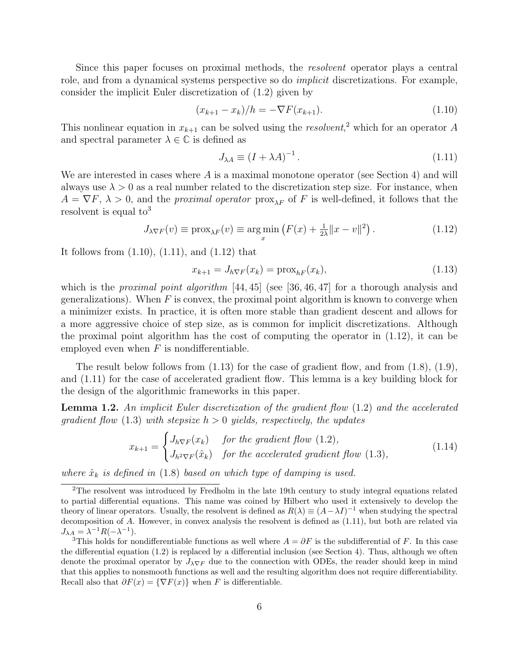Since this paper focuses on proximal methods, the *resolvent* operator plays a central role, and from a dynamical systems perspective so do implicit discretizations. For example, consider the implicit Euler discretization of (1.2) given by

$$
(x_{k+1} - x_k)/h = -\nabla F(x_{k+1}).
$$
\n(1.10)

This nonlinear equation in  $x_{k+1}$  can be solved using the *resolvent*,<sup>2</sup> which for an operator A and spectral parameter  $\lambda \in \mathbb{C}$  is defined as

$$
J_{\lambda A} \equiv (I + \lambda A)^{-1} \,. \tag{1.11}
$$

We are interested in cases where  $A$  is a maximal monotone operator (see Section 4) and will always use  $\lambda > 0$  as a real number related to the discretization step size. For instance, when  $A = \nabla F$ ,  $\lambda > 0$ , and the *proximal operator* prox<sub> $\lambda F$ </sub> of F is well-defined, it follows that the resolvent is equal to<sup>3</sup>

$$
J_{\lambda \nabla F}(v) \equiv \text{prox}_{\lambda F}(v) \equiv \underset{x}{\text{arg min}} \left( F(x) + \frac{1}{2\lambda} ||x - v||^2 \right). \tag{1.12}
$$

It follows from (1.10), (1.11), and (1.12) that

$$
x_{k+1} = J_{h\nabla F}(x_k) = \text{prox}_{hF}(x_k),\tag{1.13}
$$

which is the *proximal point algorithm* [44, 45] (see [36, 46, 47] for a thorough analysis and generalizations). When  $F$  is convex, the proximal point algorithm is known to converge when a minimizer exists. In practice, it is often more stable than gradient descent and allows for a more aggressive choice of step size, as is common for implicit discretizations. Although the proximal point algorithm has the cost of computing the operator in (1.12), it can be employed even when  $F$  is nondifferentiable.

The result below follows from  $(1.13)$  for the case of gradient flow, and from  $(1.8)$ ,  $(1.9)$ , and (1.11) for the case of accelerated gradient flow. This lemma is a key building block for the design of the algorithmic frameworks in this paper.

Lemma 1.2. An implicit Euler discretization of the gradient flow (1.2) and the accelerated gradient flow (1.3) with stepsize  $h > 0$  yields, respectively, the updates

$$
x_{k+1} = \begin{cases} J_{h\nabla F}(x_k) & \text{for the gradient flow (1.2),} \\ J_{h^2 \nabla F}(\hat{x}_k) & \text{for the accelerated gradient flow (1.3),} \end{cases}
$$
(1.14)

where  $\hat{x}_k$  is defined in (1.8) based on which type of damping is used.

<sup>2</sup>The resolvent was introduced by Fredholm in the late 19th century to study integral equations related to partial differential equations. This name was coined by Hilbert who used it extensively to develop the theory of linear operators. Usually, the resolvent is defined as  $R(\lambda) \equiv (A - \lambda I)^{-1}$  when studying the spectral decomposition of A. However, in convex analysis the resolvent is defined as (1.11), but both are related via  $J_{\lambda A} = \lambda^{-1} R(-\lambda^{-1}).$ 

<sup>&</sup>lt;sup>3</sup>This holds for nondifferentiable functions as well where  $A = \partial F$  is the subdifferential of F. In this case the differential equation (1.2) is replaced by a differential inclusion (see Section 4). Thus, although we often denote the proximal operator by  $J_{\lambda\nabla F}$  due to the connection with ODEs, the reader should keep in mind that this applies to nonsmooth functions as well and the resulting algorithm does not require differentiability. Recall also that  $\partial F(x) = \{\nabla F(x)\}\$  when F is differentiable.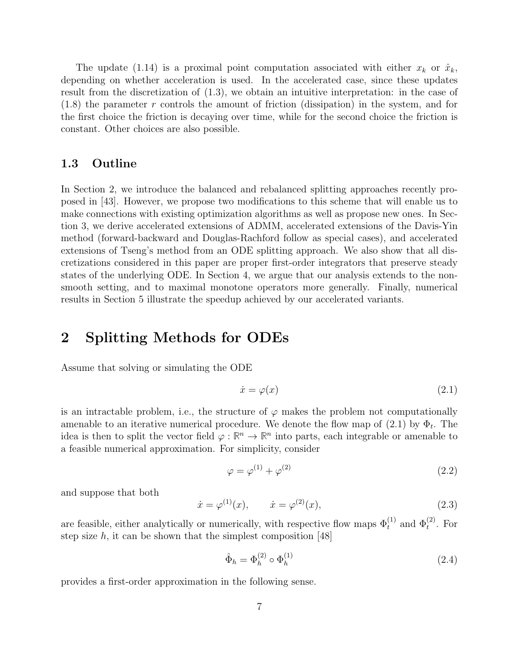The update (1.14) is a proximal point computation associated with either  $x_k$  or  $\hat{x}_k$ , depending on whether acceleration is used. In the accelerated case, since these updates result from the discretization of (1.3), we obtain an intuitive interpretation: in the case of (1.8) the parameter r controls the amount of friction (dissipation) in the system, and for the first choice the friction is decaying over time, while for the second choice the friction is constant. Other choices are also possible.

### 1.3 Outline

In Section 2, we introduce the balanced and rebalanced splitting approaches recently proposed in [43]. However, we propose two modifications to this scheme that will enable us to make connections with existing optimization algorithms as well as propose new ones. In Section 3, we derive accelerated extensions of ADMM, accelerated extensions of the Davis-Yin method (forward-backward and Douglas-Rachford follow as special cases), and accelerated extensions of Tseng's method from an ODE splitting approach. We also show that all discretizations considered in this paper are proper first-order integrators that preserve steady states of the underlying ODE. In Section 4, we argue that our analysis extends to the nonsmooth setting, and to maximal monotone operators more generally. Finally, numerical results in Section 5 illustrate the speedup achieved by our accelerated variants.

## 2 Splitting Methods for ODEs

Assume that solving or simulating the ODE

$$
\dot{x} = \varphi(x) \tag{2.1}
$$

is an intractable problem, i.e., the structure of  $\varphi$  makes the problem not computationally amenable to an iterative numerical procedure. We denote the flow map of  $(2.1)$  by  $\Phi_t$ . The idea is then to split the vector field  $\varphi : \mathbb{R}^n \to \mathbb{R}^n$  into parts, each integrable or amenable to a feasible numerical approximation. For simplicity, consider

$$
\varphi = \varphi^{(1)} + \varphi^{(2)} \tag{2.2}
$$

and suppose that both

$$
\dot{x} = \varphi^{(1)}(x), \qquad \dot{x} = \varphi^{(2)}(x), \tag{2.3}
$$

are feasible, either analytically or numerically, with respective flow maps  $\Phi_t^{(1)}$  and  $\Phi_t^{(2)}$ . For step size  $h$ , it can be shown that the simplest composition [48]

$$
\hat{\Phi}_h = \Phi_h^{(2)} \circ \Phi_h^{(1)} \tag{2.4}
$$

provides a first-order approximation in the following sense.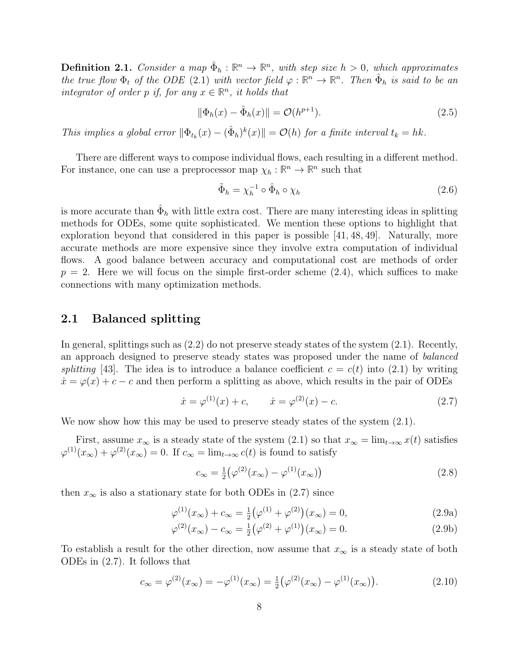**Definition 2.1.** Consider a map  $\hat{\Phi}_h : \mathbb{R}^n \to \mathbb{R}^n$ , with step size  $h > 0$ , which approximates the true flow  $\Phi_t$  of the ODE (2.1) with vector field  $\varphi : \mathbb{R}^n \to \mathbb{R}^n$ . Then  $\hat{\Phi}_h$  is said to be an integrator of order p if, for any  $x \in \mathbb{R}^n$ , it holds that

$$
\|\Phi_h(x) - \hat{\Phi}_h(x)\| = \mathcal{O}(h^{p+1}).
$$
\n(2.5)

This implies a global error  $\|\Phi_{t_k}(x) - (\hat{\Phi}_h)^k(x)\| = O(h)$  for a finite interval  $t_k = hk$ .

There are different ways to compose individual flows, each resulting in a different method. For instance, one can use a preprocessor map  $\chi_h : \mathbb{R}^n \to \mathbb{R}^n$  such that

$$
\tilde{\Phi}_h = \chi_h^{-1} \circ \hat{\Phi}_h \circ \chi_h \tag{2.6}
$$

is more accurate than  $\hat{\Phi}_h$  with little extra cost. There are many interesting ideas in splitting methods for ODEs, some quite sophisticated. We mention these options to highlight that exploration beyond that considered in this paper is possible [41, 48, 49]. Naturally, more accurate methods are more expensive since they involve extra computation of individual flows. A good balance between accuracy and computational cost are methods of order  $p = 2$ . Here we will focus on the simple first-order scheme  $(2.4)$ , which suffices to make connections with many optimization methods.

## 2.1 Balanced splitting

In general, splittings such as (2.2) do not preserve steady states of the system (2.1). Recently, an approach designed to preserve steady states was proposed under the name of balanced splitting [43]. The idea is to introduce a balance coefficient  $c = c(t)$  into (2.1) by writing  $\dot{x} = \varphi(x) + c - c$  and then perform a splitting as above, which results in the pair of ODEs

$$
\dot{x} = \varphi^{(1)}(x) + c, \qquad \dot{x} = \varphi^{(2)}(x) - c. \tag{2.7}
$$

We now show how this may be used to preserve steady states of the system  $(2.1)$ .

First, assume  $x_{\infty}$  is a steady state of the system (2.1) so that  $x_{\infty} = \lim_{t \to \infty} x(t)$  satisfies  $\varphi^{(1)}(x_{\infty}) + \varphi^{(2)}(x_{\infty}) = 0$ . If  $c_{\infty} = \lim_{t \to \infty} c(t)$  is found to satisfy

$$
c_{\infty} = \frac{1}{2} (\varphi^{(2)}(x_{\infty}) - \varphi^{(1)}(x_{\infty}))
$$
\n(2.8)

then  $x_{\infty}$  is also a stationary state for both ODEs in (2.7) since

$$
\varphi^{(1)}(x_{\infty}) + c_{\infty} = \frac{1}{2} (\varphi^{(1)} + \varphi^{(2)}) (x_{\infty}) = 0, \qquad (2.9a)
$$

$$
\varphi^{(2)}(x_{\infty}) - c_{\infty} = \frac{1}{2} (\varphi^{(2)} + \varphi^{(1)}) (x_{\infty}) = 0.
$$
 (2.9b)

To establish a result for the other direction, now assume that  $x_{\infty}$  is a steady state of both ODEs in (2.7). It follows that

$$
c_{\infty} = \varphi^{(2)}(x_{\infty}) = -\varphi^{(1)}(x_{\infty}) = \frac{1}{2} (\varphi^{(2)}(x_{\infty}) - \varphi^{(1)}(x_{\infty})).
$$
\n(2.10)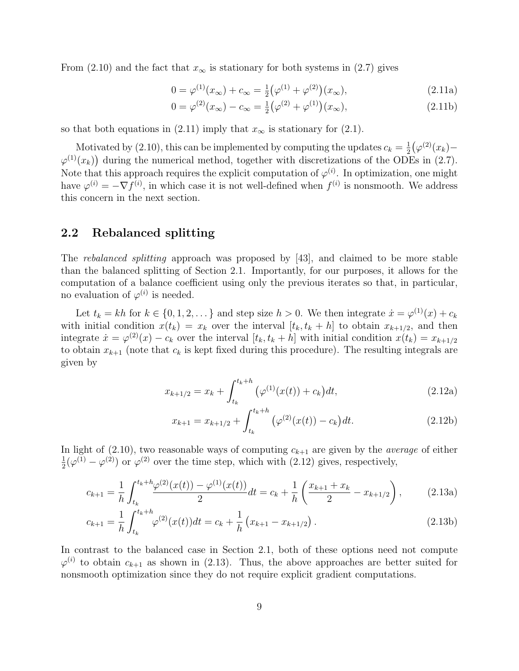From (2.10) and the fact that  $x_{\infty}$  is stationary for both systems in (2.7) gives

$$
0 = \varphi^{(1)}(x_{\infty}) + c_{\infty} = \frac{1}{2} (\varphi^{(1)} + \varphi^{(2)})(x_{\infty}), \qquad (2.11a)
$$

$$
0 = \varphi^{(2)}(x_{\infty}) - c_{\infty} = \frac{1}{2} (\varphi^{(2)} + \varphi^{(1)})(x_{\infty}), \qquad (2.11b)
$$

so that both equations in (2.11) imply that  $x_{\infty}$  is stationary for (2.1).

Motivated by (2.10), this can be implemented by computing the updates  $c_k = \frac{1}{2}$  $\frac{1}{2}(\varphi^{(2)}(x_k) \varphi^{(1)}(x_k)$  during the numerical method, together with discretizations of the ODEs in (2.7). Note that this approach requires the explicit computation of  $\varphi^{(i)}$ . In optimization, one might have  $\varphi^{(i)} = -\nabla f^{(i)}$ , in which case it is not well-defined when  $f^{(i)}$  is nonsmooth. We address this concern in the next section.

## 2.2 Rebalanced splitting

The rebalanced splitting approach was proposed by [43], and claimed to be more stable than the balanced splitting of Section 2.1. Importantly, for our purposes, it allows for the computation of a balance coefficient using only the previous iterates so that, in particular, no evaluation of  $\varphi^{(i)}$  is needed.

Let  $t_k = kh$  for  $k \in \{0, 1, 2, \dots\}$  and step size  $h > 0$ . We then integrate  $\dot{x} = \varphi^{(1)}(x) + c_k$ with initial condition  $x(t_k) = x_k$  over the interval  $[t_k, t_k + h]$  to obtain  $x_{k+1/2}$ , and then integrate  $\dot{x} = \varphi^{(2)}(x) - c_k$  over the interval  $[t_k, t_k + h]$  with initial condition  $x(t_k) = x_{k+1/2}$ to obtain  $x_{k+1}$  (note that  $c_k$  is kept fixed during this procedure). The resulting integrals are given by

$$
x_{k+1/2} = x_k + \int_{t_k}^{t_k+h} \left(\varphi^{(1)}(x(t)) + c_k\right) dt,\tag{2.12a}
$$

$$
x_{k+1} = x_{k+1/2} + \int_{t_k}^{t_k + h} \left( \varphi^{(2)}(x(t)) - c_k \right) dt.
$$
 (2.12b)

In light of (2.10), two reasonable ways of computing  $c_{k+1}$  are given by the *average* of either 1  $\frac{1}{2}(\varphi^{(1)} - \varphi^{(2)})$  or  $\varphi^{(2)}$  over the time step, which with  $(2.12)$  gives, respectively,

$$
c_{k+1} = \frac{1}{h} \int_{t_k}^{t_k + h} \frac{\varphi^{(2)}(x(t)) - \varphi^{(1)}(x(t))}{2} dt = c_k + \frac{1}{h} \left( \frac{x_{k+1} + x_k}{2} - x_{k+1/2} \right), \tag{2.13a}
$$

$$
c_{k+1} = \frac{1}{h} \int_{t_k}^{t_k + h} \varphi^{(2)}(x(t)) dt = c_k + \frac{1}{h} \left( x_{k+1} - x_{k+1/2} \right). \tag{2.13b}
$$

In contrast to the balanced case in Section 2.1, both of these options need not compute  $\varphi^{(i)}$  to obtain  $c_{k+1}$  as shown in (2.13). Thus, the above approaches are better suited for nonsmooth optimization since they do not require explicit gradient computations.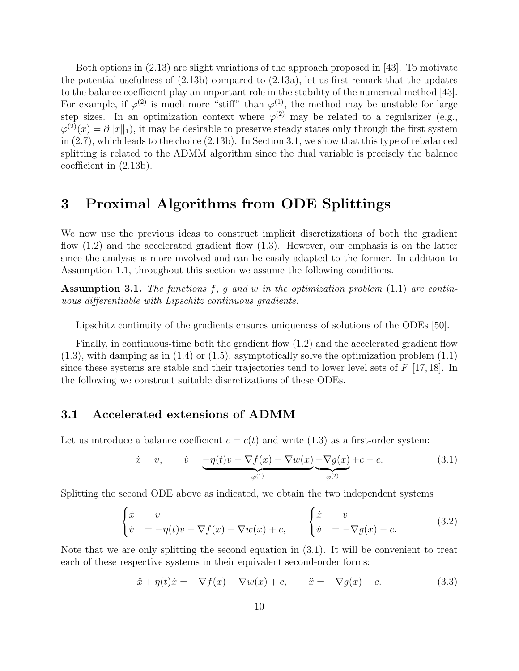Both options in (2.13) are slight variations of the approach proposed in [43]. To motivate the potential usefulness of  $(2.13b)$  compared to  $(2.13a)$ , let us first remark that the updates to the balance coefficient play an important role in the stability of the numerical method [43]. For example, if  $\varphi^{(2)}$  is much more "stiff" than  $\varphi^{(1)}$ , the method may be unstable for large step sizes. In an optimization context where  $\varphi^{(2)}$  may be related to a regularizer (e.g.,  $\varphi^{(2)}(x) = \partial ||x||_1$ , it may be desirable to preserve steady states only through the first system in (2.7), which leads to the choice (2.13b). In Section 3.1, we show that this type of rebalanced splitting is related to the ADMM algorithm since the dual variable is precisely the balance coefficient in (2.13b).

## 3 Proximal Algorithms from ODE Splittings

We now use the previous ideas to construct implicit discretizations of both the gradient flow (1.2) and the accelerated gradient flow (1.3). However, our emphasis is on the latter since the analysis is more involved and can be easily adapted to the former. In addition to Assumption 1.1, throughout this section we assume the following conditions.

Assumption 3.1. The functions  $f, g$  and  $w$  in the optimization problem (1.1) are continuous differentiable with Lipschitz continuous gradients.

Lipschitz continuity of the gradients ensures uniqueness of solutions of the ODEs [50].

Finally, in continuous-time both the gradient flow (1.2) and the accelerated gradient flow  $(1.3)$ , with damping as in  $(1.4)$  or  $(1.5)$ , asymptotically solve the optimization problem  $(1.1)$ since these systems are stable and their trajectories tend to lower level sets of  $F$  [17,18]. In the following we construct suitable discretizations of these ODEs.

### 3.1 Accelerated extensions of ADMM

Let us introduce a balance coefficient  $c = c(t)$  and write (1.3) as a first-order system:

$$
\dot{x} = v, \qquad \dot{v} = -\eta(t)v - \nabla f(x) - \nabla w(x) - \nabla g(x) + c - c. \tag{3.1}
$$

Splitting the second ODE above as indicated, we obtain the two independent systems

$$
\begin{cases}\n\dot{x} = v \\
\dot{v} = -\eta(t)v - \nabla f(x) - \nabla w(x) + c, \\
\dot{v} = -\nabla g(x) - c.\n\end{cases}
$$
\n(3.2)

Note that we are only splitting the second equation in (3.1). It will be convenient to treat each of these respective systems in their equivalent second-order forms:

$$
\ddot{x} + \eta(t)\dot{x} = -\nabla f(x) - \nabla w(x) + c, \qquad \ddot{x} = -\nabla g(x) - c.
$$
 (3.3)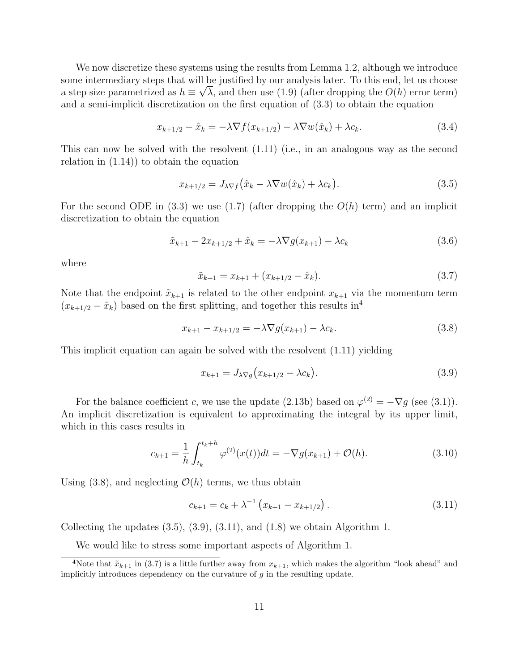We now discretize these systems using the results from Lemma 1.2, although we introduce some intermediary steps that will be justified by our analysis later. To this end, let us choose a step size parametrized as  $h \equiv \sqrt{\lambda}$ , and then use (1.9) (after dropping the  $O(h)$  error term) and a semi-implicit discretization on the first equation of (3.3) to obtain the equation

$$
x_{k+1/2} - \hat{x}_k = -\lambda \nabla f(x_{k+1/2}) - \lambda \nabla w(\hat{x}_k) + \lambda c_k.
$$
\n(3.4)

This can now be solved with the resolvent (1.11) (i.e., in an analogous way as the second relation in (1.14)) to obtain the equation

$$
x_{k+1/2} = J_{\lambda \nabla f}(\hat{x}_k - \lambda \nabla w(\hat{x}_k) + \lambda c_k). \tag{3.5}
$$

For the second ODE in (3.3) we use (1.7) (after dropping the  $O(h)$  term) and an implicit discretization to obtain the equation

$$
\tilde{x}_{k+1} - 2x_{k+1/2} + \hat{x}_k = -\lambda \nabla g(x_{k+1}) - \lambda c_k
$$
\n(3.6)

where

$$
\tilde{x}_{k+1} = x_{k+1} + (x_{k+1/2} - \hat{x}_k). \tag{3.7}
$$

Note that the endpoint  $\tilde{x}_{k+1}$  is related to the other endpoint  $x_{k+1}$  via the momentum term  $(x_{k+1/2} - \hat{x}_k)$  based on the first splitting, and together this results in<sup>4</sup>

$$
x_{k+1} - x_{k+1/2} = -\lambda \nabla g(x_{k+1}) - \lambda c_k.
$$
 (3.8)

This implicit equation can again be solved with the resolvent (1.11) yielding

$$
x_{k+1} = J_{\lambda \nabla g} (x_{k+1/2} - \lambda c_k). \tag{3.9}
$$

For the balance coefficient c, we use the update (2.13b) based on  $\varphi^{(2)} = -\nabla g$  (see (3.1)). An implicit discretization is equivalent to approximating the integral by its upper limit, which in this cases results in

$$
c_{k+1} = \frac{1}{h} \int_{t_k}^{t_k + h} \varphi^{(2)}(x(t)) dt = -\nabla g(x_{k+1}) + \mathcal{O}(h). \tag{3.10}
$$

Using  $(3.8)$ , and neglecting  $\mathcal{O}(h)$  terms, we thus obtain

$$
c_{k+1} = c_k + \lambda^{-1} \left( x_{k+1} - x_{k+1/2} \right). \tag{3.11}
$$

Collecting the updates  $(3.5), (3.9), (3.11),$  and  $(1.8)$  we obtain Algorithm 1.

We would like to stress some important aspects of Algorithm 1.

<sup>&</sup>lt;sup>4</sup>Note that  $\tilde{x}_{k+1}$  in (3.7) is a little further away from  $x_{k+1}$ , which makes the algorithm "look ahead" and implicitly introduces dependency on the curvature of  $g$  in the resulting update.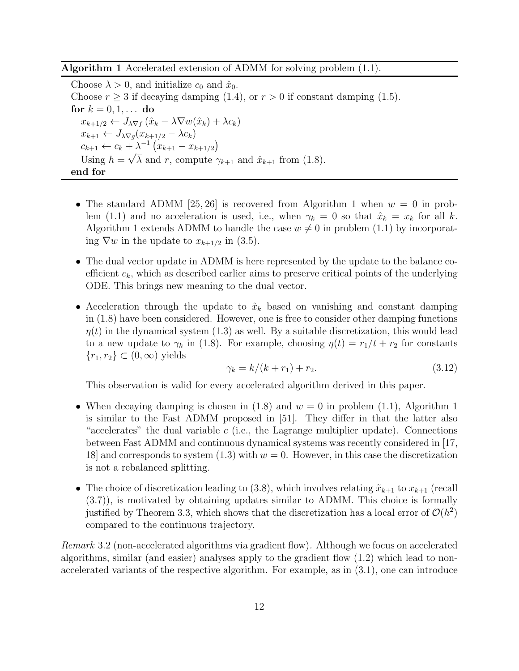Algorithm 1 Accelerated extension of ADMM for solving problem (1.1).

Choose  $\lambda > 0$ , and initialize  $c_0$  and  $\hat{x}_0$ . Choose  $r \geq 3$  if decaying damping (1.4), or  $r > 0$  if constant damping (1.5). for  $k = 0, 1, ...$  do  $x_{k+1/2} \leftarrow J_{\lambda \nabla f} (\hat{x}_k - \lambda \nabla w(\hat{x}_k) + \lambda c_k)$  $x_{k+1} \leftarrow J_{\lambda \nabla g}(x_{k+1/2} - \lambda c_k)$  $c_{k+1} \leftarrow c_k + \lambda^{-1} (x_{k+1} - x_{k+1/2})$ Using  $h = \sqrt{\lambda}$  and r, compute  $\gamma_{k+1}$  and  $\hat{x}_{k+1}$  from (1.8). end for

- The standard ADMM [25, 26] is recovered from Algorithm 1 when  $w = 0$  in problem (1.1) and no acceleration is used, i.e., when  $\gamma_k = 0$  so that  $\hat{x}_k = x_k$  for all k. Algorithm 1 extends ADMM to handle the case  $w \neq 0$  in problem (1.1) by incorporating  $\nabla w$  in the update to  $x_{k+1/2}$  in (3.5).
- The dual vector update in ADMM is here represented by the update to the balance coefficient  $c_k$ , which as described earlier aims to preserve critical points of the underlying ODE. This brings new meaning to the dual vector.
- Acceleration through the update to  $\hat{x}_k$  based on vanishing and constant damping in (1.8) have been considered. However, one is free to consider other damping functions  $\eta(t)$  in the dynamical system (1.3) as well. By a suitable discretization, this would lead to a new update to  $\gamma_k$  in (1.8). For example, choosing  $\eta(t) = r_1/t + r_2$  for constants  ${r_1, r_2} \subset (0, \infty)$  yields

$$
\gamma_k = k/(k + r_1) + r_2. \tag{3.12}
$$

This observation is valid for every accelerated algorithm derived in this paper.

- When decaying damping is chosen in (1.8) and  $w = 0$  in problem (1.1), Algorithm 1 is similar to the Fast ADMM proposed in [51]. They differ in that the latter also "accelerates" the dual variable  $c$  (i.e., the Lagrange multiplier update). Connections between Fast ADMM and continuous dynamical systems was recently considered in [17, 18] and corresponds to system  $(1.3)$  with  $w = 0$ . However, in this case the discretization is not a rebalanced splitting.
- The choice of discretization leading to (3.8), which involves relating  $\tilde{x}_{k+1}$  to  $x_{k+1}$  (recall (3.7)), is motivated by obtaining updates similar to ADMM. This choice is formally justified by Theorem 3.3, which shows that the discretization has a local error of  $\mathcal{O}(h^2)$ compared to the continuous trajectory.

Remark 3.2 (non-accelerated algorithms via gradient flow). Although we focus on accelerated algorithms, similar (and easier) analyses apply to the gradient flow (1.2) which lead to nonaccelerated variants of the respective algorithm. For example, as in (3.1), one can introduce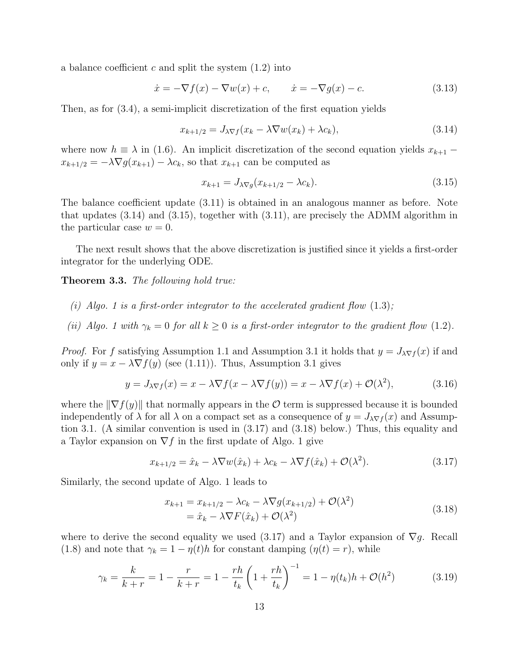a balance coefficient c and split the system  $(1.2)$  into

$$
\dot{x} = -\nabla f(x) - \nabla w(x) + c, \qquad \dot{x} = -\nabla g(x) - c.
$$
\n(3.13)

Then, as for (3.4), a semi-implicit discretization of the first equation yields

$$
x_{k+1/2} = J_{\lambda \nabla f}(x_k - \lambda \nabla w(x_k) + \lambda c_k), \tag{3.14}
$$

where now  $h \equiv \lambda$  in (1.6). An implicit discretization of the second equation yields  $x_{k+1}$  –  $x_{k+1/2} = -\lambda \nabla g(x_{k+1}) - \lambda c_k$ , so that  $x_{k+1}$  can be computed as

$$
x_{k+1} = J_{\lambda \nabla g}(x_{k+1/2} - \lambda c_k).
$$
 (3.15)

The balance coefficient update (3.11) is obtained in an analogous manner as before. Note that updates (3.14) and (3.15), together with (3.11), are precisely the ADMM algorithm in the particular case  $w = 0$ .

The next result shows that the above discretization is justified since it yields a first-order integrator for the underlying ODE.

Theorem 3.3. The following hold true:

- (i) Algo. 1 is a first-order integrator to the accelerated gradient flow  $(1.3)$ ;
- (ii) Algo. 1 with  $\gamma_k = 0$  for all  $k \geq 0$  is a first-order integrator to the gradient flow (1.2).

*Proof.* For f satisfying Assumption 1.1 and Assumption 3.1 it holds that  $y = J_{\lambda \nabla f}(x)$  if and only if  $y = x - \lambda \nabla f(y)$  (see (1.11)). Thus, Assumption 3.1 gives

$$
y = J_{\lambda \nabla f}(x) = x - \lambda \nabla f(x - \lambda \nabla f(y)) = x - \lambda \nabla f(x) + \mathcal{O}(\lambda^2), \tag{3.16}
$$

where the  $\|\nabla f(y)\|$  that normally appears in the  $\mathcal O$  term is suppressed because it is bounded independently of  $\lambda$  for all  $\lambda$  on a compact set as a consequence of  $y = J_{\lambda \nabla f}(x)$  and Assumption 3.1. (A similar convention is used in (3.17) and (3.18) below.) Thus, this equality and a Taylor expansion on  $\nabla f$  in the first update of Algo. 1 give

$$
x_{k+1/2} = \hat{x}_k - \lambda \nabla w(\hat{x}_k) + \lambda c_k - \lambda \nabla f(\hat{x}_k) + \mathcal{O}(\lambda^2). \tag{3.17}
$$

Similarly, the second update of Algo. 1 leads to

$$
x_{k+1} = x_{k+1/2} - \lambda c_k - \lambda \nabla g(x_{k+1/2}) + \mathcal{O}(\lambda^2)
$$
  
=  $\hat{x}_k - \lambda \nabla F(\hat{x}_k) + \mathcal{O}(\lambda^2)$  (3.18)

where to derive the second equality we used (3.17) and a Taylor expansion of  $\nabla g$ . Recall (1.8) and note that  $\gamma_k = 1 - \eta(t)h$  for constant damping  $(\eta(t) = r)$ , while

$$
\gamma_k = \frac{k}{k+r} = 1 - \frac{r}{k+r} = 1 - \frac{rh}{t_k} \left( 1 + \frac{rh}{t_k} \right)^{-1} = 1 - \eta(t_k)h + \mathcal{O}(h^2) \tag{3.19}
$$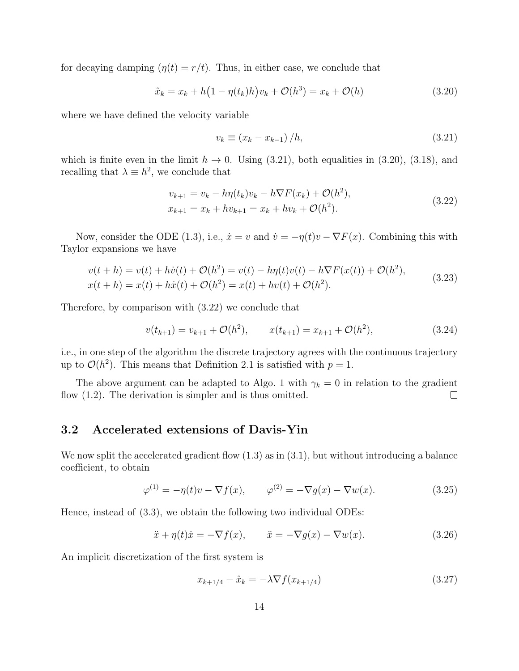for decaying damping  $(\eta(t) = r/t)$ . Thus, in either case, we conclude that

$$
\hat{x}_k = x_k + h\big(1 - \eta(t_k)h\big)v_k + \mathcal{O}(h^3) = x_k + \mathcal{O}(h) \tag{3.20}
$$

where we have defined the velocity variable

$$
v_k \equiv \left(x_k - x_{k-1}\right)/h,\tag{3.21}
$$

which is finite even in the limit  $h \to 0$ . Using (3.21), both equalities in (3.20), (3.18), and recalling that  $\lambda \equiv h^2$ , we conclude that

$$
v_{k+1} = v_k - h\eta(t_k)v_k - h\nabla F(x_k) + \mathcal{O}(h^2),
$$
  
\n
$$
x_{k+1} = x_k + hv_{k+1} = x_k + hv_k + \mathcal{O}(h^2).
$$
\n(3.22)

Now, consider the ODE (1.3), i.e.,  $\dot{x} = v$  and  $\dot{v} = -\eta(t)v - \nabla F(x)$ . Combining this with Taylor expansions we have

$$
v(t+h) = v(t) + h\dot{v}(t) + \mathcal{O}(h^2) = v(t) - h\eta(t)v(t) - h\nabla F(x(t)) + \mathcal{O}(h^2),
$$
  
\n
$$
x(t+h) = x(t) + h\dot{x}(t) + \mathcal{O}(h^2) = x(t) + hv(t) + \mathcal{O}(h^2).
$$
\n(3.23)

Therefore, by comparison with (3.22) we conclude that

$$
v(t_{k+1}) = v_{k+1} + \mathcal{O}(h^2), \qquad x(t_{k+1}) = x_{k+1} + \mathcal{O}(h^2), \tag{3.24}
$$

i.e., in one step of the algorithm the discrete trajectory agrees with the continuous trajectory up to  $\mathcal{O}(h^2)$ . This means that Definition 2.1 is satisfied with  $p = 1$ .

The above argument can be adapted to Algo. 1 with  $\gamma_k = 0$  in relation to the gradient flow  $(1.2)$ . The derivation is simpler and is thus omitted.  $\Box$ 

## 3.2 Accelerated extensions of Davis-Yin

We now split the accelerated gradient flow  $(1.3)$  as in  $(3.1)$ , but without introducing a balance coefficient, to obtain

$$
\varphi^{(1)} = -\eta(t)v - \nabla f(x), \qquad \varphi^{(2)} = -\nabla g(x) - \nabla w(x). \tag{3.25}
$$

Hence, instead of (3.3), we obtain the following two individual ODEs:

$$
\ddot{x} + \eta(t)\dot{x} = -\nabla f(x), \qquad \ddot{x} = -\nabla g(x) - \nabla w(x). \tag{3.26}
$$

An implicit discretization of the first system is

$$
x_{k+1/4} - \hat{x}_k = -\lambda \nabla f(x_{k+1/4}) \tag{3.27}
$$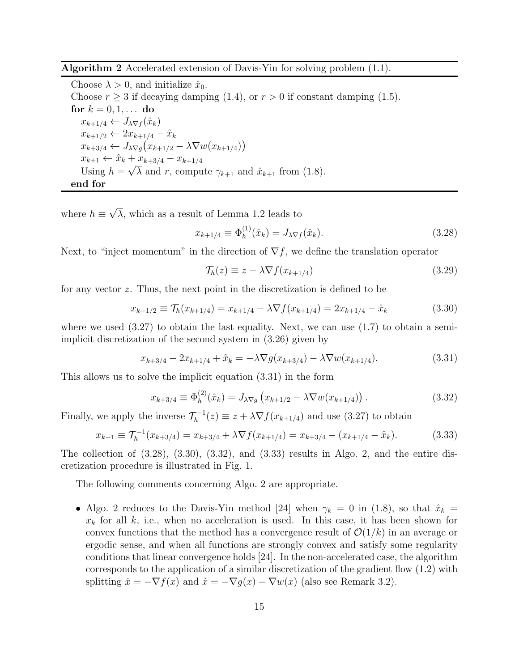Algorithm 2 Accelerated extension of Davis-Yin for solving problem (1.1).

Choose  $\lambda > 0$ , and initialize  $\hat{x}_0$ . Choose  $r \geq 3$  if decaying damping (1.4), or  $r > 0$  if constant damping (1.5). for  $k = 0, 1, ...$  do  $x_{k+1/4} \leftarrow J_{\lambda \nabla f}(\hat{x}_k)$  $x_{k+1/2} \leftarrow 2x_{k+1/4} - \hat{x}_k$  $x_{k+3/4} \leftarrow J_{\lambda \nabla g}(x_{k+1/2} - \lambda \nabla w(x_{k+1/4}))$  $x_{k+1} \leftarrow \hat{x}_k + x_{k+3/4} - x_{k+1/4}$ Using  $h = \sqrt{\lambda}$  and r, compute  $\gamma_{k+1}$  and  $\hat{x}_{k+1}$  from (1.8). end for

where  $h \equiv \sqrt{\lambda}$ , which as a result of Lemma 1.2 leads to

$$
x_{k+1/4} \equiv \Phi_h^{(1)}(\hat{x}_k) = J_{\lambda \nabla f}(\hat{x}_k).
$$
 (3.28)

Next, to "inject momentum" in the direction of  $\nabla f$ , we define the translation operator

$$
\mathcal{T}_h(z) \equiv z - \lambda \nabla f(x_{k+1/4}) \tag{3.29}
$$

for any vector z. Thus, the next point in the discretization is defined to be

$$
x_{k+1/2} \equiv \mathcal{T}_h(x_{k+1/4}) = x_{k+1/4} - \lambda \nabla f(x_{k+1/4}) = 2x_{k+1/4} - \hat{x}_k \tag{3.30}
$$

where we used  $(3.27)$  to obtain the last equality. Next, we can use  $(1.7)$  to obtain a semiimplicit discretization of the second system in (3.26) given by

$$
x_{k+3/4} - 2x_{k+1/4} + \hat{x}_k = -\lambda \nabla g(x_{k+3/4}) - \lambda \nabla w(x_{k+1/4}). \tag{3.31}
$$

This allows us to solve the implicit equation (3.31) in the form

$$
x_{k+3/4} \equiv \Phi_h^{(2)}(\hat{x}_k) = J_{\lambda \nabla g} \left( x_{k+1/2} - \lambda \nabla w(x_{k+1/4}) \right). \tag{3.32}
$$

Finally, we apply the inverse  $\mathcal{T}_h^{-1}(z) \equiv z + \lambda \nabla f(x_{k+1/4})$  and use (3.27) to obtain

$$
x_{k+1} \equiv \mathcal{T}_h^{-1}(x_{k+3/4}) = x_{k+3/4} + \lambda \nabla f(x_{k+1/4}) = x_{k+3/4} - (x_{k+1/4} - \hat{x}_k). \tag{3.33}
$$

The collection of  $(3.28)$ ,  $(3.30)$ ,  $(3.32)$ , and  $(3.33)$  results in Algo. 2, and the entire discretization procedure is illustrated in Fig. 1.

The following comments concerning Algo. 2 are appropriate.

• Algo. 2 reduces to the Davis-Yin method [24] when  $\gamma_k = 0$  in (1.8), so that  $\hat{x}_k =$  $x_k$  for all k, i.e., when no acceleration is used. In this case, it has been shown for convex functions that the method has a convergence result of  $\mathcal{O}(1/k)$  in an average or ergodic sense, and when all functions are strongly convex and satisfy some regularity conditions that linear convergence holds [24]. In the non-accelerated case, the algorithm corresponds to the application of a similar discretization of the gradient flow (1.2) with splitting  $\dot{x} = -\nabla f(x)$  and  $\dot{x} = -\nabla g(x) - \nabla w(x)$  (also see Remark 3.2).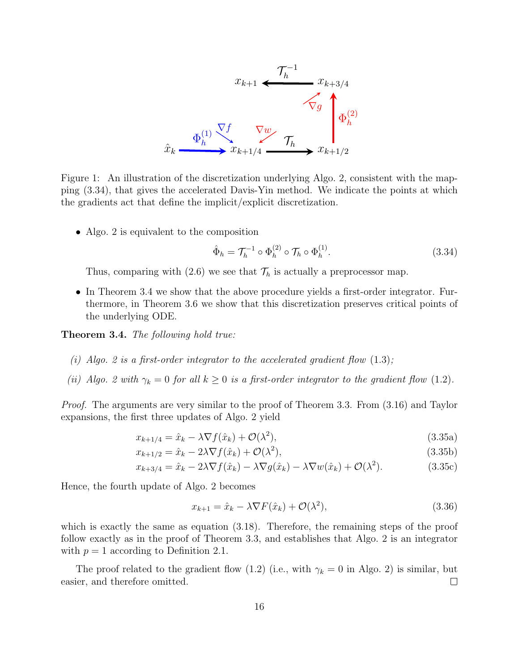

Figure 1: An illustration of the discretization underlying Algo. 2, consistent with the mapping (3.34), that gives the accelerated Davis-Yin method. We indicate the points at which the gradients act that define the implicit/explicit discretization.

• Algo. 2 is equivalent to the composition

$$
\hat{\Phi}_h = \mathcal{T}_h^{-1} \circ \Phi_h^{(2)} \circ \mathcal{T}_h \circ \Phi_h^{(1)}.
$$
\n(3.34)

Thus, comparing with (2.6) we see that  $\mathcal{T}_h$  is actually a preprocessor map.

• In Theorem 3.4 we show that the above procedure yields a first-order integrator. Furthermore, in Theorem 3.6 we show that this discretization preserves critical points of the underlying ODE.

Theorem 3.4. The following hold true:

- (i) Algo. 2 is a first-order integrator to the accelerated gradient flow  $(1.3)$ ;
- (ii) Algo. 2 with  $\gamma_k = 0$  for all  $k \geq 0$  is a first-order integrator to the gradient flow (1.2).

Proof. The arguments are very similar to the proof of Theorem 3.3. From (3.16) and Taylor expansions, the first three updates of Algo. 2 yield

$$
x_{k+1/4} = \hat{x}_k - \lambda \nabla f(\hat{x}_k) + \mathcal{O}(\lambda^2), \tag{3.35a}
$$

$$
x_{k+1/2} = \hat{x}_k - 2\lambda \nabla f(\hat{x}_k) + \mathcal{O}(\lambda^2),\tag{3.35b}
$$

$$
x_{k+3/4} = \hat{x}_k - 2\lambda \nabla f(\hat{x}_k) - \lambda \nabla g(\hat{x}_k) - \lambda \nabla w(\hat{x}_k) + \mathcal{O}(\lambda^2). \tag{3.35c}
$$

Hence, the fourth update of Algo. 2 becomes

$$
x_{k+1} = \hat{x}_k - \lambda \nabla F(\hat{x}_k) + \mathcal{O}(\lambda^2), \tag{3.36}
$$

which is exactly the same as equation  $(3.18)$ . Therefore, the remaining steps of the proof follow exactly as in the proof of Theorem 3.3, and establishes that Algo. 2 is an integrator with  $p = 1$  according to Definition 2.1.

The proof related to the gradient flow (1.2) (i.e., with  $\gamma_k = 0$  in Algo. 2) is similar, but easier, and therefore omitted.  $\Box$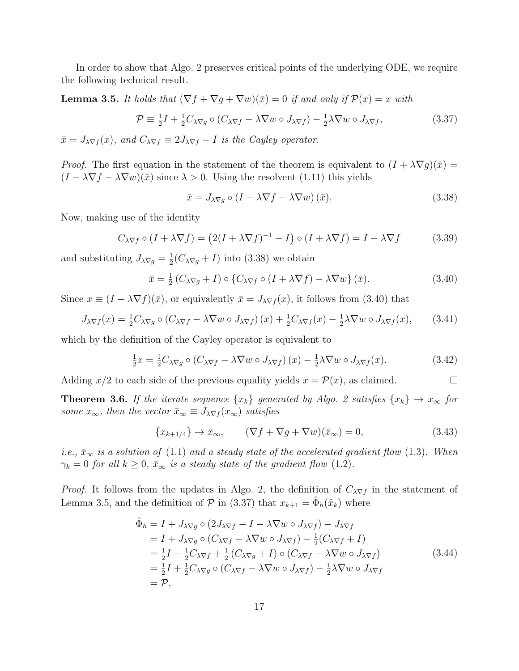In order to show that Algo. 2 preserves critical points of the underlying ODE, we require the following technical result.

**Lemma 3.5.** It holds that  $(\nabla f + \nabla g + \nabla w)(\bar{x}) = 0$  if and only if  $\mathcal{P}(x) = x$  with

$$
\mathcal{P} \equiv \frac{1}{2}I + \frac{1}{2}C_{\lambda\nabla g} \circ (C_{\lambda\nabla f} - \lambda \nabla w \circ J_{\lambda\nabla f}) - \frac{1}{2}\lambda \nabla w \circ J_{\lambda\nabla f},\tag{3.37}
$$

 $\bar{x} = J_{\lambda \nabla f}(x)$ , and  $C_{\lambda \nabla f} \equiv 2J_{\lambda \nabla f} - I$  is the Cayley operator.

*Proof.* The first equation in the statement of the theorem is equivalent to  $(I + \lambda \nabla g)(\bar{x}) =$  $(I - \lambda \nabla f - \lambda \nabla w)(\bar{x})$  since  $\lambda > 0$ . Using the resolvent (1.11) this yields

$$
\bar{x} = J_{\lambda \nabla g} \circ (I - \lambda \nabla f - \lambda \nabla w) (\bar{x}). \tag{3.38}
$$

Now, making use of the identity

$$
C_{\lambda \nabla f} \circ (I + \lambda \nabla f) = (2(I + \lambda \nabla f)^{-1} - I) \circ (I + \lambda \nabla f) = I - \lambda \nabla f \tag{3.39}
$$

and substituting  $J_{\lambda \nabla g} = \frac{1}{2}$  $\frac{1}{2}(C_{\lambda \nabla g} + I)$  into (3.38) we obtain

$$
\bar{x} = \frac{1}{2} \left( C_{\lambda \nabla g} + I \right) \circ \left\{ C_{\lambda \nabla f} \circ \left( I + \lambda \nabla f \right) - \lambda \nabla w \right\} (\bar{x}). \tag{3.40}
$$

Since  $x \equiv (I + \lambda \nabla f)(\bar{x})$ , or equivalently  $\bar{x} = J_{\lambda \nabla f}(x)$ , it follows from (3.40) that

$$
J_{\lambda \nabla f}(x) = \frac{1}{2} C_{\lambda \nabla g} \circ (C_{\lambda \nabla f} - \lambda \nabla w \circ J_{\lambda \nabla f})(x) + \frac{1}{2} C_{\lambda \nabla f}(x) - \frac{1}{2} \lambda \nabla w \circ J_{\lambda \nabla f}(x), \quad (3.41)
$$

which by the definition of the Cayley operator is equivalent to

$$
\frac{1}{2}x = \frac{1}{2}C_{\lambda\nabla g} \circ (C_{\lambda\nabla f} - \lambda \nabla w \circ J_{\lambda\nabla f})(x) - \frac{1}{2}\lambda \nabla w \circ J_{\lambda\nabla f}(x). \tag{3.42}
$$

Adding  $x/2$  to each side of the previous equality yields  $x = \mathcal{P}(x)$ , as claimed.  $\Box$ 

**Theorem 3.6.** If the iterate sequence  $\{x_k\}$  generated by Algo. 2 satisfies  $\{x_k\} \to x_\infty$  for some  $x_{\infty}$ , then the vector  $\bar{x}_{\infty} \equiv J_{\lambda \nabla f}(x_{\infty})$  satisfies

$$
\{x_{k+1/4}\}\to\bar{x}_{\infty}, \qquad (\nabla f + \nabla g + \nabla w)(\bar{x}_{\infty}) = 0, \qquad (3.43)
$$

i.e.,  $\bar{x}_{\infty}$  is a solution of (1.1) and a steady state of the accelerated gradient flow (1.3). When  $\gamma_k = 0$  for all  $k \geq 0$ ,  $\bar{x}_{\infty}$  is a steady state of the gradient flow (1.2).

*Proof.* It follows from the updates in Algo. 2, the definition of  $C_{\lambda \nabla f}$  in the statement of Lemma 3.5, and the definition of  $P$  in (3.37) that  $x_{k+1} = \hat{\Phi}_h(\hat{x}_k)$  where

$$
\begin{split}\n\hat{\Phi}_{h} &= I + J_{\lambda \nabla g} \circ (2J_{\lambda \nabla f} - I - \lambda \nabla w \circ J_{\lambda \nabla f}) - J_{\lambda \nabla f} \\
&= I + J_{\lambda \nabla g} \circ (C_{\lambda \nabla f} - \lambda \nabla w \circ J_{\lambda \nabla f}) - \frac{1}{2} (C_{\lambda \nabla f} + I) \\
&= \frac{1}{2} I - \frac{1}{2} C_{\lambda \nabla f} + \frac{1}{2} (C_{\lambda \nabla g} + I) \circ (C_{\lambda \nabla f} - \lambda \nabla w \circ J_{\lambda \nabla f}) \\
&= \frac{1}{2} I + \frac{1}{2} C_{\lambda \nabla g} \circ (C_{\lambda \nabla f} - \lambda \nabla w \circ J_{\lambda \nabla f}) - \frac{1}{2} \lambda \nabla w \circ J_{\lambda \nabla f} \\
&= \mathcal{P},\n\end{split} \tag{3.44}
$$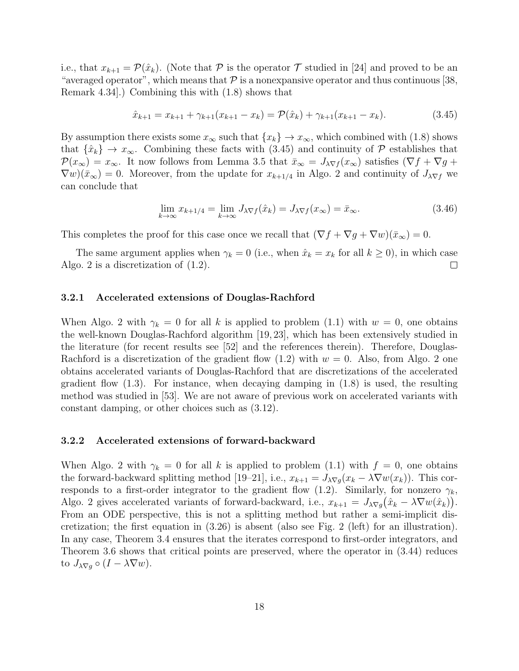i.e., that  $x_{k+1} = \mathcal{P}(\hat{x}_k)$ . (Note that  $\mathcal P$  is the operator  $\mathcal T$  studied in [24] and proved to be an "averaged operator", which means that  $P$  is a nonexpansive operator and thus continuous [38, Remark 4.34].) Combining this with (1.8) shows that

$$
\hat{x}_{k+1} = x_{k+1} + \gamma_{k+1}(x_{k+1} - x_k) = \mathcal{P}(\hat{x}_k) + \gamma_{k+1}(x_{k+1} - x_k). \tag{3.45}
$$

By assumption there exists some  $x_{\infty}$  such that  $\{x_k\} \to x_{\infty}$ , which combined with (1.8) shows that  $\{\hat{x}_k\} \to x_\infty$ . Combining these facts with (3.45) and continuity of P establishes that  $\mathcal{P}(x_{\infty}) = x_{\infty}$ . It now follows from Lemma 3.5 that  $\bar{x}_{\infty} = J_{\lambda} \nabla f(x_{\infty})$  satisfies  $(\nabla f + \nabla g +$  $\nabla w(\bar{x}_{\infty}) = 0$ . Moreover, from the update for  $x_{k+1/4}$  in Algo. 2 and continuity of  $J_{\lambda \nabla f}$  we can conclude that

$$
\lim_{k \to \infty} x_{k+1/4} = \lim_{k \to \infty} J_{\lambda \nabla f}(\hat{x}_k) = J_{\lambda \nabla f}(x_\infty) = \bar{x}_\infty.
$$
\n(3.46)

This completes the proof for this case once we recall that  $(\nabla f + \nabla g + \nabla w)(\bar{x}_{\infty}) = 0$ .

The same argument applies when  $\gamma_k = 0$  (i.e., when  $\hat{x}_k = x_k$  for all  $k \ge 0$ ), in which case o. 2 is a discretization of (1.2). Algo. 2 is a discretization of (1.2).

#### 3.2.1 Accelerated extensions of Douglas-Rachford

When Algo. 2 with  $\gamma_k = 0$  for all k is applied to problem (1.1) with  $w = 0$ , one obtains the well-known Douglas-Rachford algorithm [19, 23], which has been extensively studied in the literature (for recent results see [52] and the references therein). Therefore, Douglas-Rachford is a discretization of the gradient flow  $(1.2)$  with  $w = 0$ . Also, from Algo. 2 one obtains accelerated variants of Douglas-Rachford that are discretizations of the accelerated gradient flow  $(1.3)$ . For instance, when decaying damping in  $(1.8)$  is used, the resulting method was studied in [53]. We are not aware of previous work on accelerated variants with constant damping, or other choices such as (3.12).

#### 3.2.2 Accelerated extensions of forward-backward

When Algo. 2 with  $\gamma_k = 0$  for all k is applied to problem (1.1) with  $f = 0$ , one obtains the forward-backward splitting method [19–21], i.e.,  $x_{k+1} = J_{\lambda \nabla g}(x_k - \lambda \nabla w(x_k))$ . This corresponds to a first-order integrator to the gradient flow (1.2). Similarly, for nonzero  $\gamma_k$ , Algo. 2 gives accelerated variants of forward-backward, i.e.,  $x_{k+1} = J_{\lambda \nabla g}(\hat{x}_k - \lambda \nabla w(\hat{x}_k)).$ From an ODE perspective, this is not a splitting method but rather a semi-implicit discretization; the first equation in (3.26) is absent (also see Fig. 2 (left) for an illustration). In any case, Theorem 3.4 ensures that the iterates correspond to first-order integrators, and Theorem 3.6 shows that critical points are preserved, where the operator in (3.44) reduces to  $J_{\lambda \nabla q} \circ (I - \lambda \nabla w)$ .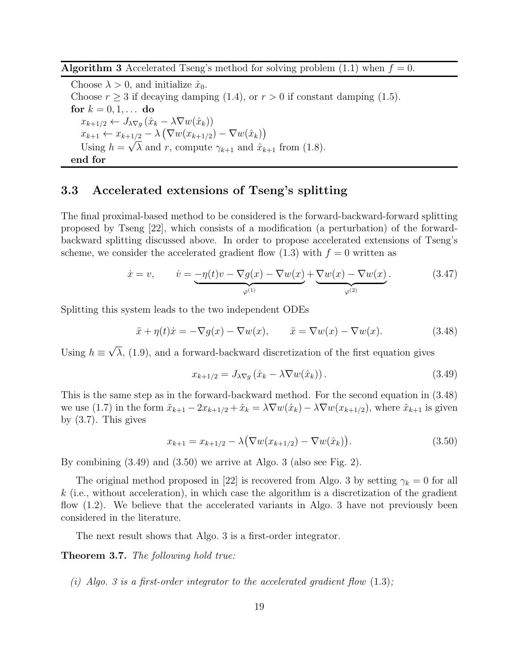Algorithm 3 Accelerated Tseng's method for solving problem (1.1) when  $f = 0$ .

Choose  $\lambda > 0$ , and initialize  $\hat{x}_0$ . Choose  $r \geq 3$  if decaying damping (1.4), or  $r > 0$  if constant damping (1.5). for  $k = 0, 1, ...$  do  $x_{k+1/2} \leftarrow J_{\lambda \nabla q} (\hat{x}_k - \lambda \nabla w(\hat{x}_k))$  $x_{k+1} \leftarrow x_{k+1/2} - \lambda \left( \nabla w(x_{k+1/2}) - \nabla w(\hat{x}_k) \right)$ Using  $h = \sqrt{\lambda}$  and r, compute  $\gamma_{k+1}$  and  $\hat{x}_{k+1}$  from (1.8). end for

## 3.3 Accelerated extensions of Tseng's splitting

The final proximal-based method to be considered is the forward-backward-forward splitting proposed by Tseng [22], which consists of a modification (a perturbation) of the forwardbackward splitting discussed above. In order to propose accelerated extensions of Tseng's scheme, we consider the accelerated gradient flow  $(1.3)$  with  $f = 0$  written as

$$
\dot{x} = v, \qquad \dot{v} = \underbrace{-\eta(t)v - \nabla g(x) - \nabla w(x)}_{\varphi^{(1)}} + \underbrace{\nabla w(x) - \nabla w(x)}_{\varphi^{(2)}}.
$$
\n(3.47)

Splitting this system leads to the two independent ODEs

$$
\ddot{x} + \eta(t)\dot{x} = -\nabla g(x) - \nabla w(x), \qquad \ddot{x} = \nabla w(x) - \nabla w(x). \tag{3.48}
$$

Using  $h \equiv \sqrt{\lambda}$ , (1.9), and a forward-backward discretization of the first equation gives

$$
x_{k+1/2} = J_{\lambda \nabla g} \left( \hat{x}_k - \lambda \nabla w(\hat{x}_k) \right). \tag{3.49}
$$

This is the same step as in the forward-backward method. For the second equation in (3.48) we use (1.7) in the form  $\tilde{x}_{k+1} - 2x_{k+1/2} + \hat{x}_k = \lambda \nabla w(\hat{x}_k) - \lambda \nabla w(x_{k+1/2})$ , where  $\tilde{x}_{k+1}$  is given by (3.7). This gives

$$
x_{k+1} = x_{k+1/2} - \lambda \left( \nabla w(x_{k+1/2}) - \nabla w(\hat{x}_k) \right).
$$
 (3.50)

By combining (3.49) and (3.50) we arrive at Algo. 3 (also see Fig. 2).

The original method proposed in [22] is recovered from Algo. 3 by setting  $\gamma_k = 0$  for all  $k$  (i.e., without acceleration), in which case the algorithm is a discretization of the gradient flow (1.2). We believe that the accelerated variants in Algo. 3 have not previously been considered in the literature.

The next result shows that Algo. 3 is a first-order integrator.

Theorem 3.7. The following hold true:

(i) Algo. 3 is a first-order integrator to the accelerated gradient flow  $(1.3)$ ;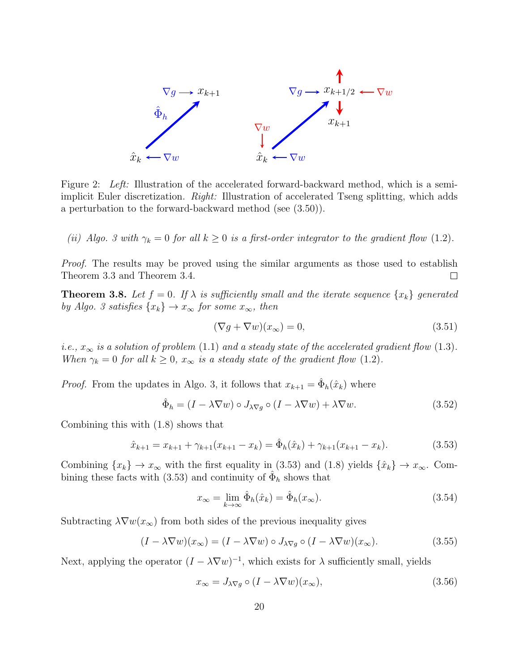

Figure 2: Left: Illustration of the accelerated forward-backward method, which is a semiimplicit Euler discretization. Right: Illustration of accelerated Tseng splitting, which adds a perturbation to the forward-backward method (see (3.50)).

(ii) Algo. 3 with  $\gamma_k = 0$  for all  $k \geq 0$  is a first-order integrator to the gradient flow (1.2).

Proof. The results may be proved using the similar arguments as those used to establish Theorem 3.3 and Theorem 3.4.  $\Box$ 

**Theorem 3.8.** Let  $f = 0$ . If  $\lambda$  is sufficiently small and the iterate sequence  $\{x_k\}$  generated by Algo. 3 satisfies  $\{x_k\} \to x_\infty$  for some  $x_\infty$ , then

$$
(\nabla g + \nabla w)(x_{\infty}) = 0,\t\t(3.51)
$$

i.e.,  $x_{\infty}$  is a solution of problem (1.1) and a steady state of the accelerated gradient flow (1.3). When  $\gamma_k = 0$  for all  $k \geq 0$ ,  $x_{\infty}$  is a steady state of the gradient flow (1.2).

*Proof.* From the updates in Algo. 3, it follows that  $x_{k+1} = \hat{\Phi}_h(\hat{x}_k)$  where

$$
\hat{\Phi}_h = (I - \lambda \nabla w) \circ J_{\lambda \nabla g} \circ (I - \lambda \nabla w) + \lambda \nabla w.
$$
\n(3.52)

Combining this with (1.8) shows that

$$
\hat{x}_{k+1} = x_{k+1} + \gamma_{k+1}(x_{k+1} - x_k) = \hat{\Phi}_h(\hat{x}_k) + \gamma_{k+1}(x_{k+1} - x_k). \tag{3.53}
$$

Combining  $\{x_k\} \to x_\infty$  with the first equality in (3.53) and (1.8) yields  $\{\hat{x}_k\} \to x_\infty$ . Combining these facts with (3.53) and continuity of  $\hat{\Phi}_h$  shows that

$$
x_{\infty} = \lim_{k \to \infty} \hat{\Phi}_h(\hat{x}_k) = \hat{\Phi}_h(x_{\infty}).
$$
\n(3.54)

Subtracting  $\lambda \nabla w(x_\infty)$  from both sides of the previous inequality gives

$$
(I - \lambda \nabla w)(x_{\infty}) = (I - \lambda \nabla w) \circ J_{\lambda \nabla g} \circ (I - \lambda \nabla w)(x_{\infty}).
$$
\n(3.55)

Next, applying the operator  $(I - \lambda \nabla w)^{-1}$ , which exists for  $\lambda$  sufficiently small, yields

$$
x_{\infty} = J_{\lambda \nabla g} \circ (I - \lambda \nabla w)(x_{\infty}), \qquad (3.56)
$$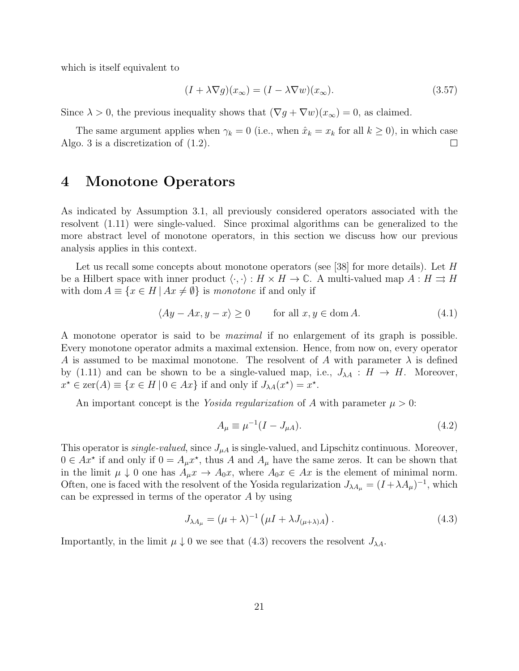which is itself equivalent to

$$
(I + \lambda \nabla g)(x_{\infty}) = (I - \lambda \nabla w)(x_{\infty}).
$$
\n(3.57)

Since  $\lambda > 0$ , the previous inequality shows that  $(\nabla g + \nabla w)(x_\infty) = 0$ , as claimed.

The same argument applies when  $\gamma_k = 0$  (i.e., when  $\hat{x}_k = x_k$  for all  $k \ge 0$ ), in which case o. 3 is a discretization of (1.2). Algo. 3 is a discretization of (1.2).

## 4 Monotone Operators

As indicated by Assumption 3.1, all previously considered operators associated with the resolvent (1.11) were single-valued. Since proximal algorithms can be generalized to the more abstract level of monotone operators, in this section we discuss how our previous analysis applies in this context.

Let us recall some concepts about monotone operators (see [38] for more details). Let  $H$ be a Hilbert space with inner product  $\langle \cdot, \cdot \rangle : H \times H \to \mathbb{C}$ . A multi-valued map  $A : H \rightrightarrows H$ with dom  $A \equiv \{x \in H \mid Ax \neq \emptyset\}$  is monotone if and only if

$$
\langle Ay - Ax, y - x \rangle \ge 0 \qquad \text{for all } x, y \in \text{dom } A. \tag{4.1}
$$

A monotone operator is said to be maximal if no enlargement of its graph is possible. Every monotone operator admits a maximal extension. Hence, from now on, every operator A is assumed to be maximal monotone. The resolvent of A with parameter  $\lambda$  is defined by (1.11) and can be shown to be a single-valued map, i.e.,  $J_{\lambda A}: H \to H$ . Moreover,  $x^* \in \text{zer}(A) \equiv \{x \in H \mid 0 \in Ax\}$  if and only if  $J_{\lambda A}(x^*) = x^*$ .

An important concept is the *Yosida regularization* of A with parameter  $\mu > 0$ :

$$
A_{\mu} \equiv \mu^{-1} (I - J_{\mu A}). \tag{4.2}
$$

This operator is *single-valued*, since  $J_{\mu A}$  is single-valued, and Lipschitz continuous. Moreover,  $0 \in Ax^*$  if and only if  $0 = A_\mu x^*$ , thus A and  $A_\mu$  have the same zeros. It can be shown that in the limit  $\mu \downarrow 0$  one has  $A_{\mu}x \rightarrow A_0x$ , where  $A_0x \in Ax$  is the element of minimal norm. Often, one is faced with the resolvent of the Yosida regularization  $J_{\lambda A_{\mu}} = (I + \lambda A_{\mu})^{-1}$ , which can be expressed in terms of the operator A by using

$$
J_{\lambda A_{\mu}} = (\mu + \lambda)^{-1} \left( \mu I + \lambda J_{(\mu + \lambda)A} \right). \tag{4.3}
$$

Importantly, in the limit  $\mu \downarrow 0$  we see that (4.3) recovers the resolvent  $J_{\lambda A}$ .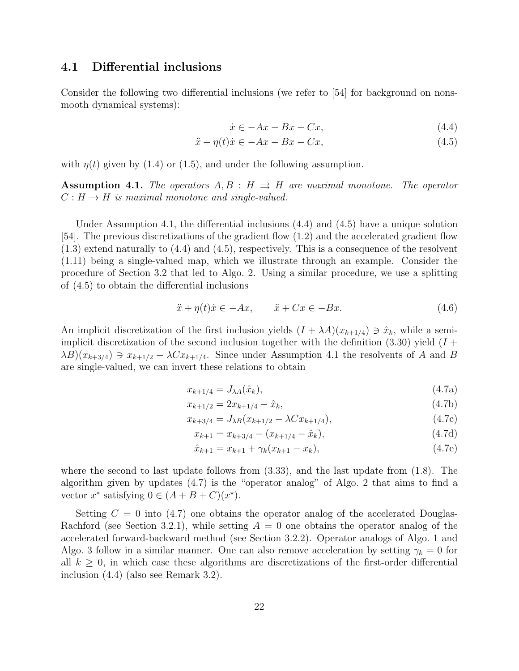### 4.1 Differential inclusions

Consider the following two differential inclusions (we refer to [54] for background on nonsmooth dynamical systems):

$$
\dot{x} \in -Ax - Bx - Cx,\tag{4.4}
$$

$$
\ddot{x} + \eta(t)\dot{x} \in -Ax - Bx - Cx,\tag{4.5}
$$

with  $\eta(t)$  given by (1.4) or (1.5), and under the following assumption.

**Assumption 4.1.** The operators  $A, B : H \Rightarrow H$  are maximal monotone. The operator  $C: H \to H$  is maximal monotone and single-valued.

Under Assumption 4.1, the differential inclusions (4.4) and (4.5) have a unique solution [54]. The previous discretizations of the gradient flow (1.2) and the accelerated gradient flow (1.3) extend naturally to (4.4) and (4.5), respectively. This is a consequence of the resolvent (1.11) being a single-valued map, which we illustrate through an example. Consider the procedure of Section 3.2 that led to Algo. 2. Using a similar procedure, we use a splitting of (4.5) to obtain the differential inclusions

$$
\ddot{x} + \eta(t)\dot{x} \in -Ax, \qquad \ddot{x} + Cx \in -Bx. \tag{4.6}
$$

An implicit discretization of the first inclusion yields  $(I + \lambda A)(x_{k+1/4}) \ni \hat{x}_k$ , while a semiimplicit discretization of the second inclusion together with the definition  $(3.30)$  yield  $(I +$  $\lambda B(x_{k+3/4}) \ni x_{k+1/2} - \lambda C x_{k+1/4}$ . Since under Assumption 4.1 the resolvents of A and B are single-valued, we can invert these relations to obtain

$$
x_{k+1/4} = J_{\lambda A}(\hat{x}_k),\tag{4.7a}
$$

$$
x_{k+1/2} = 2x_{k+1/4} - \hat{x}_k, \tag{4.7b}
$$

$$
x_{k+3/4} = J_{\lambda B}(x_{k+1/2} - \lambda C x_{k+1/4}),
$$
\n(4.7c)

$$
x_{k+1} = x_{k+3/4} - (x_{k+1/4} - \hat{x}_k),
$$
\n(4.7d)

$$
\hat{x}_{k+1} = x_{k+1} + \gamma_k (x_{k+1} - x_k), \tag{4.7e}
$$

where the second to last update follows from  $(3.33)$ , and the last update from  $(1.8)$ . The algorithm given by updates (4.7) is the "operator analog" of Algo. 2 that aims to find a vector  $x^*$  satisfying  $0 \in (A + B + C)(x^*)$ .

Setting  $C = 0$  into (4.7) one obtains the operator analog of the accelerated Douglas-Rachford (see Section 3.2.1), while setting  $A = 0$  one obtains the operator analog of the accelerated forward-backward method (see Section 3.2.2). Operator analogs of Algo. 1 and Algo. 3 follow in a similar manner. One can also remove acceleration by setting  $\gamma_k = 0$  for all  $k \geq 0$ , in which case these algorithms are discretizations of the first-order differential inclusion (4.4) (also see Remark 3.2).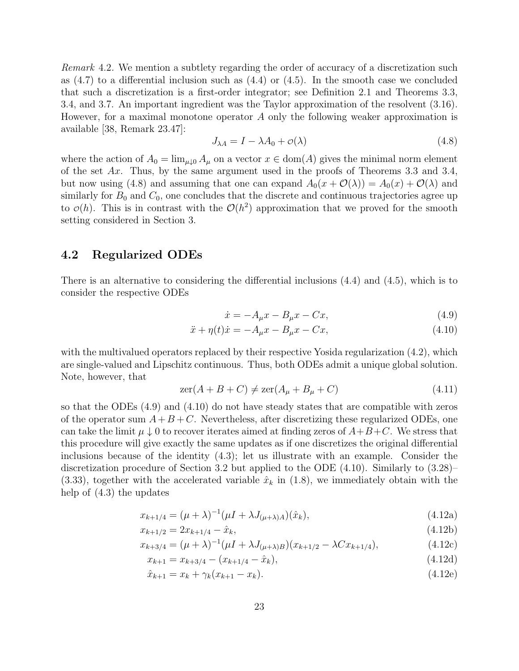Remark 4.2. We mention a subtlety regarding the order of accuracy of a discretization such as  $(4.7)$  to a differential inclusion such as  $(4.4)$  or  $(4.5)$ . In the smooth case we concluded that such a discretization is a first-order integrator; see Definition 2.1 and Theorems 3.3, 3.4, and 3.7. An important ingredient was the Taylor approximation of the resolvent (3.16). However, for a maximal monotone operator A only the following weaker approximation is available [38, Remark 23.47]:

$$
J_{\lambda A} = I - \lambda A_0 + \mathcal{O}(\lambda) \tag{4.8}
$$

where the action of  $A_0 = \lim_{\mu \downarrow 0} A_\mu$  on a vector  $x \in \text{dom}(A)$  gives the minimal norm element of the set  $Ax$ . Thus, by the same argument used in the proofs of Theorems 3.3 and 3.4, but now using (4.8) and assuming that one can expand  $A_0(x + \mathcal{O}(\lambda)) = A_0(x) + \mathcal{O}(\lambda)$  and similarly for  $B_0$  and  $C_0$ , one concludes that the discrete and continuous trajectories agree up to  $\mathcal{O}(h)$ . This is in contrast with the  $\mathcal{O}(h^2)$  approximation that we proved for the smooth setting considered in Section 3.

### 4.2 Regularized ODEs

There is an alternative to considering the differential inclusions (4.4) and (4.5), which is to consider the respective ODEs

$$
\dot{x} = -A_{\mu}x - B_{\mu}x - Cx,\tag{4.9}
$$

$$
\ddot{x} + \eta(t)\dot{x} = -A_{\mu}x - B_{\mu}x - Cx,\tag{4.10}
$$

with the multivalued operators replaced by their respective Yosida regularization  $(4.2)$ , which are single-valued and Lipschitz continuous. Thus, both ODEs admit a unique global solution. Note, however, that

$$
zer(A + B + C) \neq zer(A\mu + B\mu + C)
$$
\n(4.11)

so that the ODEs (4.9) and (4.10) do not have steady states that are compatible with zeros of the operator sum  $A + B + C$ . Nevertheless, after discretizing these regularized ODEs, one can take the limit  $\mu \downarrow 0$  to recover iterates aimed at finding zeros of  $A+B+C$ . We stress that this procedure will give exactly the same updates as if one discretizes the original differential inclusions because of the identity (4.3); let us illustrate with an example. Consider the discretization procedure of Section 3.2 but applied to the ODE (4.10). Similarly to (3.28)–  $(3.33)$ , together with the accelerated variable  $\hat{x}_k$  in  $(1.8)$ , we immediately obtain with the help of (4.3) the updates

$$
x_{k+1/4} = (\mu + \lambda)^{-1} (\mu I + \lambda J_{(\mu + \lambda)A})(\hat{x}_k),
$$
\n(4.12a)

$$
x_{k+1/2} = 2x_{k+1/4} - \hat{x}_k, \tag{4.12b}
$$

$$
x_{k+3/4} = (\mu + \lambda)^{-1} (\mu I + \lambda J_{(\mu+\lambda)B})(x_{k+1/2} - \lambda C x_{k+1/4}),
$$
\n(4.12c)

$$
x_{k+1} = x_{k+3/4} - (x_{k+1/4} - \hat{x}_k),
$$
\n(4.12d)

$$
\hat{x}_{k+1} = x_k + \gamma_k (x_{k+1} - x_k). \tag{4.12e}
$$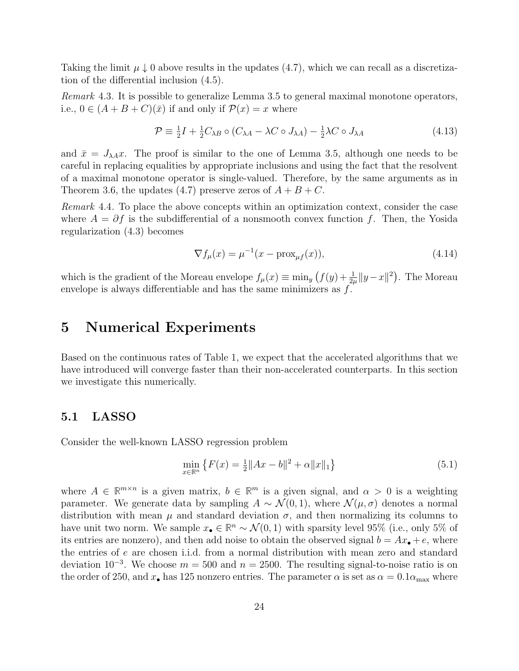Taking the limit  $\mu \downarrow 0$  above results in the updates (4.7), which we can recall as a discretization of the differential inclusion (4.5).

Remark 4.3. It is possible to generalize Lemma 3.5 to general maximal monotone operators, i.e.,  $0 \in (A + B + C)(\overline{x})$  if and only if  $\mathcal{P}(x) = x$  where

$$
\mathcal{P} \equiv \frac{1}{2}I + \frac{1}{2}C_{\lambda B} \circ (C_{\lambda A} - \lambda C \circ J_{\lambda A}) - \frac{1}{2}\lambda C \circ J_{\lambda A}
$$
(4.13)

and  $\bar{x} = J_{\lambda A}x$ . The proof is similar to the one of Lemma 3.5, although one needs to be careful in replacing equalities by appropriate inclusions and using the fact that the resolvent of a maximal monotone operator is single-valued. Therefore, by the same arguments as in Theorem 3.6, the updates (4.7) preserve zeros of  $A + B + C$ .

Remark 4.4. To place the above concepts within an optimization context, consider the case where  $A = \partial f$  is the subdifferential of a nonsmooth convex function f. Then, the Yosida regularization (4.3) becomes

$$
\nabla f_{\mu}(x) = \mu^{-1}(x - \text{prox}_{\mu f}(x)),
$$
\n(4.14)

which is the gradient of the Moreau envelope  $f_{\mu}(x) \equiv \min_{y} (f(y) + \frac{1}{2\mu} ||y - x||^2)$ . The Moreau envelope is always differentiable and has the same minimizers as  $f$ .

## 5 Numerical Experiments

Based on the continuous rates of Table 1, we expect that the accelerated algorithms that we have introduced will converge faster than their non-accelerated counterparts. In this section we investigate this numerically.

### 5.1 LASSO

Consider the well-known LASSO regression problem

$$
\min_{x \in \mathbb{R}^n} \left\{ F(x) = \frac{1}{2} \|Ax - b\|^2 + \alpha \|x\|_1 \right\} \tag{5.1}
$$

where  $A \in \mathbb{R}^{m \times n}$  is a given matrix,  $b \in \mathbb{R}^m$  is a given signal, and  $\alpha > 0$  is a weighting parameter. We generate data by sampling  $A \sim \mathcal{N}(0, 1)$ , where  $\mathcal{N}(\mu, \sigma)$  denotes a normal distribution with mean  $\mu$  and standard deviation  $\sigma$ , and then normalizing its columns to have unit two norm. We sample  $x_{\bullet} \in \mathbb{R}^n \sim \mathcal{N}(0, 1)$  with sparsity level 95% (i.e., only 5% of its entries are nonzero), and then add noise to obtain the observed signal  $b = Ax_{\bullet} + e$ , where the entries of e are chosen i.i.d. from a normal distribution with mean zero and standard deviation  $10^{-3}$ . We choose  $m = 500$  and  $n = 2500$ . The resulting signal-to-noise ratio is on the order of 250, and  $x_{\bullet}$  has 125 nonzero entries. The parameter  $\alpha$  is set as  $\alpha = 0.1 \alpha_{\text{max}}$  where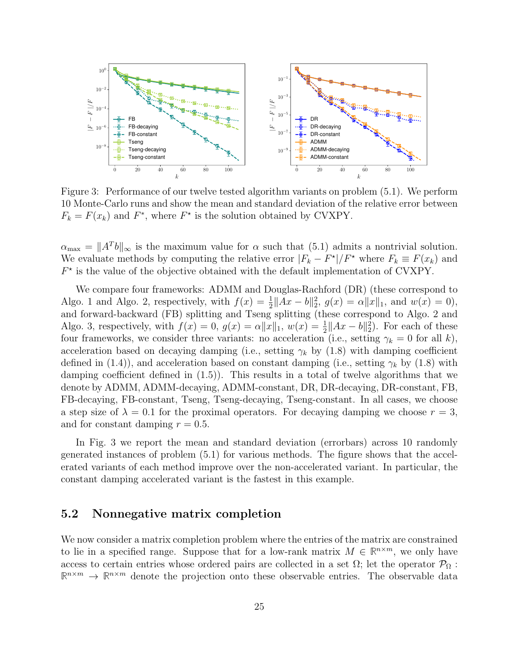

Figure 3: Performance of our twelve tested algorithm variants on problem (5.1). We perform 10 Monte-Carlo runs and show the mean and standard deviation of the relative error between  $F_k = F(x_k)$  and  $F^*$ , where  $F^*$  is the solution obtained by CVXPY.

 $\alpha_{\text{max}} = ||A^T b||_{\infty}$  is the maximum value for  $\alpha$  such that (5.1) admits a nontrivial solution. We evaluate methods by computing the relative error  $|F_k - F^*|/F^*$  where  $F_k \equiv F(x_k)$  and  $F^{\star}$  is the value of the objective obtained with the default implementation of CVXPY.

We compare four frameworks: ADMM and Douglas-Rachford (DR) (these correspond to Algo. 1 and Algo. 2, respectively, with  $f(x) = \frac{1}{2} ||Ax - b||_2^2$ ,  $g(x) = \alpha ||x||_1$ , and  $w(x) = 0$ , and forward-backward (FB) splitting and Tseng splitting (these correspond to Algo. 2 and Algo. 3, respectively, with  $f(x) = 0$ ,  $g(x) = \alpha ||x||_1$ ,  $w(x) = \frac{1}{2} ||Ax - b||_2^2$ . For each of these four frameworks, we consider three variants: no acceleration (i.e., setting  $\gamma_k = 0$  for all k), acceleration based on decaying damping (i.e., setting  $\gamma_k$  by (1.8) with damping coefficient defined in (1.4)), and acceleration based on constant damping (i.e., setting  $\gamma_k$  by (1.8) with damping coefficient defined in (1.5)). This results in a total of twelve algorithms that we denote by ADMM, ADMM-decaying, ADMM-constant, DR, DR-decaying, DR-constant, FB, FB-decaying, FB-constant, Tseng, Tseng-decaying, Tseng-constant. In all cases, we choose a step size of  $\lambda = 0.1$  for the proximal operators. For decaying damping we choose  $r = 3$ , and for constant damping  $r = 0.5$ .

In Fig. 3 we report the mean and standard deviation (errorbars) across 10 randomly generated instances of problem (5.1) for various methods. The figure shows that the accelerated variants of each method improve over the non-accelerated variant. In particular, the constant damping accelerated variant is the fastest in this example.

## 5.2 Nonnegative matrix completion

We now consider a matrix completion problem where the entries of the matrix are constrained to lie in a specified range. Suppose that for a low-rank matrix  $M \in \mathbb{R}^{n \times m}$ , we only have access to certain entries whose ordered pairs are collected in a set  $\Omega$ ; let the operator  $\mathcal{P}_{\Omega}$ :  $\mathbb{R}^{n \times m} \to \mathbb{R}^{n \times m}$  denote the projection onto these observable entries. The observable data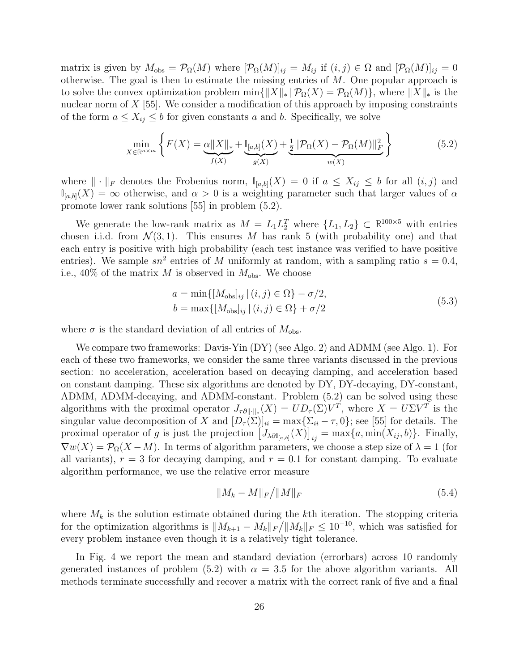matrix is given by  $M_{obs} = \mathcal{P}_{\Omega}(M)$  where  $[\mathcal{P}_{\Omega}(M)]_{ij} = M_{ij}$  if  $(i, j) \in \Omega$  and  $[\mathcal{P}_{\Omega}(M)]_{ij} = 0$ otherwise. The goal is then to estimate the missing entries of  $M$ . One popular approach is to solve the convex optimization problem min $\{||X||_* | \mathcal{P}_{\Omega}(X) = \mathcal{P}_{\Omega}(M)\}\)$ , where  $||X||_*$  is the nuclear norm of  $X$  [55]. We consider a modification of this approach by imposing constraints of the form  $a \leq X_{ij} \leq b$  for given constants a and b. Specifically, we solve

$$
\min_{X \in \mathbb{R}^{n \times m}} \left\{ F(X) = \underbrace{\alpha \|X\|_{*}}_{f(X)} + \underbrace{\mathbb{I}_{[a,b]}(X)}_{g(X)} + \underbrace{\frac{1}{2} \|\mathcal{P}_{\Omega}(X) - \mathcal{P}_{\Omega}(M)\|_{F}^{2}}_{w(X)} \right\}
$$
(5.2)

where  $\|\cdot\|_F$  denotes the Frobenius norm,  $\mathbb{I}_{[a,b]}(X) = 0$  if  $a \leq X_{ij} \leq b$  for all  $(i, j)$  and  $\mathbb{I}_{[a,b]}(X) = \infty$  otherwise, and  $\alpha > 0$  is a weighting parameter such that larger values of  $\alpha$ promote lower rank solutions [55] in problem (5.2).

We generate the low-rank matrix as  $M = L_1 L_2^T$  where  $\{L_1, L_2\} \subset \mathbb{R}^{100 \times 5}$  with entries chosen i.i.d. from  $\mathcal{N}(3,1)$ . This ensures M has rank 5 (with probability one) and that each entry is positive with high probability (each test instance was verified to have positive entries). We sample  $sn^2$  entries of M uniformly at random, with a sampling ratio  $s = 0.4$ , i.e., 40% of the matrix M is observed in  $M_{\text{obs}}$ . We choose

$$
a = \min\{ [M_{\text{obs}}]_{ij} \mid (i, j) \in \Omega \} - \sigma/2,
$$
  
\n
$$
b = \max\{ [M_{\text{obs}}]_{ij} \mid (i, j) \in \Omega \} + \sigma/2
$$
\n(5.3)

where  $\sigma$  is the standard deviation of all entries of  $M_{\text{obs}}$ .

We compare two frameworks: Davis-Yin (DY) (see Algo. 2) and ADMM (see Algo. 1). For each of these two frameworks, we consider the same three variants discussed in the previous section: no acceleration, acceleration based on decaying damping, and acceleration based on constant damping. These six algorithms are denoted by DY, DY-decaying, DY-constant, ADMM, ADMM-decaying, and ADMM-constant. Problem (5.2) can be solved using these algorithms with the proximal operator  $J_{\tau \partial \|\cdot\|_*}(X) = UD_{\tau}(\Sigma)V^T$ , where  $X = U\Sigma V^T$  is the singular value decomposition of X and  $[D_{\tau}(\Sigma)]_{ii} = \max\{\Sigma_{ii} - \tau, 0\}$ ; see [55] for details. The proximal operator of g is just the projection  $[J_{\lambda \partial \mathbb{I}_{[a,b]}}(X)]_{ij} = \max\{a, \min(X_{ij}, b)\}\.$  Finally,  $\nabla w(X) = \mathcal{P}_{\Omega}(X - M)$ . In terms of algorithm parameters, we choose a step size of  $\lambda = 1$  (for all variants),  $r = 3$  for decaying damping, and  $r = 0.1$  for constant damping. To evaluate algorithm performance, we use the relative error measure

$$
||M_k - M||_F / ||M||_F
$$
\n(5.4)

where  $M_k$  is the solution estimate obtained during the kth iteration. The stopping criteria for the optimization algorithms is  $||M_{k+1} - M_k||_F / ||M_k||_F \le 10^{-10}$ , which was satisfied for every problem instance even though it is a relatively tight tolerance.

In Fig. 4 we report the mean and standard deviation (errorbars) across 10 randomly generated instances of problem (5.2) with  $\alpha = 3.5$  for the above algorithm variants. All methods terminate successfully and recover a matrix with the correct rank of five and a final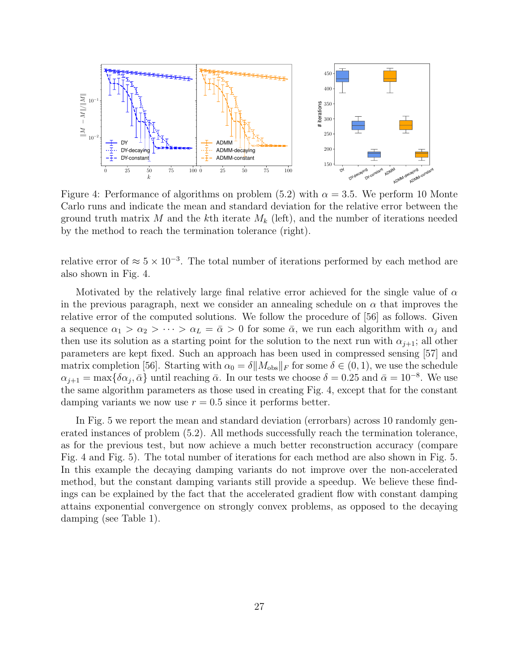

Figure 4: Performance of algorithms on problem (5.2) with  $\alpha = 3.5$ . We perform 10 Monte Carlo runs and indicate the mean and standard deviation for the relative error between the ground truth matrix M and the kth iterate  $M_k$  (left), and the number of iterations needed by the method to reach the termination tolerance (right).

relative error of  $\approx 5 \times 10^{-3}$ . The total number of iterations performed by each method are also shown in Fig. 4.

Motivated by the relatively large final relative error achieved for the single value of  $\alpha$ in the previous paragraph, next we consider an annealing schedule on  $\alpha$  that improves the relative error of the computed solutions. We follow the procedure of [56] as follows. Given a sequence  $\alpha_1 > \alpha_2 > \cdots > \alpha_L = \bar{\alpha} > 0$  for some  $\bar{\alpha}$ , we run each algorithm with  $\alpha_j$  and then use its solution as a starting point for the solution to the next run with  $\alpha_{j+1}$ ; all other parameters are kept fixed. Such an approach has been used in compressed sensing [57] and matrix completion [56]. Starting with  $\alpha_0 = \delta ||M_{obs}||_F$  for some  $\delta \in (0, 1)$ , we use the schedule  $\alpha_{j+1} = \max\{\delta\alpha_j, \bar{\alpha}\}\$ until reaching  $\bar{\alpha}$ . In our tests we choose  $\delta = 0.25$  and  $\bar{\alpha} = 10^{-8}$ . We use the same algorithm parameters as those used in creating Fig. 4, except that for the constant damping variants we now use  $r = 0.5$  since it performs better.

In Fig. 5 we report the mean and standard deviation (errorbars) across 10 randomly generated instances of problem (5.2). All methods successfully reach the termination tolerance, as for the previous test, but now achieve a much better reconstruction accuracy (compare Fig. 4 and Fig. 5). The total number of iterations for each method are also shown in Fig. 5. In this example the decaying damping variants do not improve over the non-accelerated method, but the constant damping variants still provide a speedup. We believe these findings can be explained by the fact that the accelerated gradient flow with constant damping attains exponential convergence on strongly convex problems, as opposed to the decaying damping (see Table 1).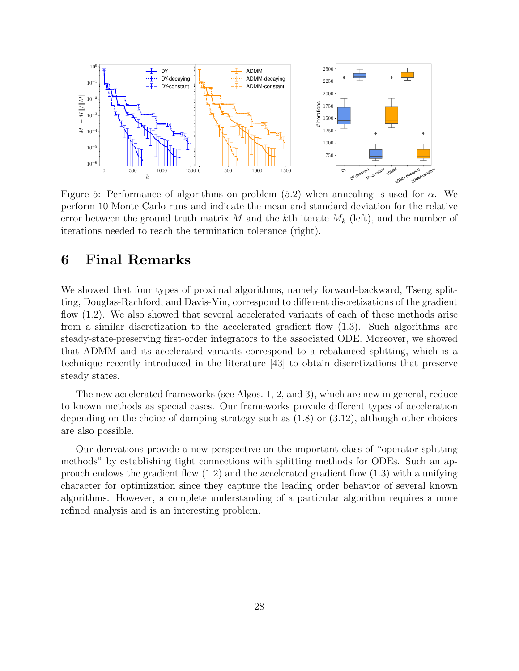

Figure 5: Performance of algorithms on problem  $(5.2)$  when annealing is used for  $\alpha$ . We perform 10 Monte Carlo runs and indicate the mean and standard deviation for the relative error between the ground truth matrix M and the kth iterate  $M_k$  (left), and the number of iterations needed to reach the termination tolerance (right).

## 6 Final Remarks

We showed that four types of proximal algorithms, namely forward-backward, Tseng splitting, Douglas-Rachford, and Davis-Yin, correspond to different discretizations of the gradient flow (1.2). We also showed that several accelerated variants of each of these methods arise from a similar discretization to the accelerated gradient flow (1.3). Such algorithms are steady-state-preserving first-order integrators to the associated ODE. Moreover, we showed that ADMM and its accelerated variants correspond to a rebalanced splitting, which is a technique recently introduced in the literature [43] to obtain discretizations that preserve steady states.

The new accelerated frameworks (see Algos. 1, 2, and 3), which are new in general, reduce to known methods as special cases. Our frameworks provide different types of acceleration depending on the choice of damping strategy such as (1.8) or (3.12), although other choices are also possible.

Our derivations provide a new perspective on the important class of "operator splitting methods" by establishing tight connections with splitting methods for ODEs. Such an approach endows the gradient flow (1.2) and the accelerated gradient flow (1.3) with a unifying character for optimization since they capture the leading order behavior of several known algorithms. However, a complete understanding of a particular algorithm requires a more refined analysis and is an interesting problem.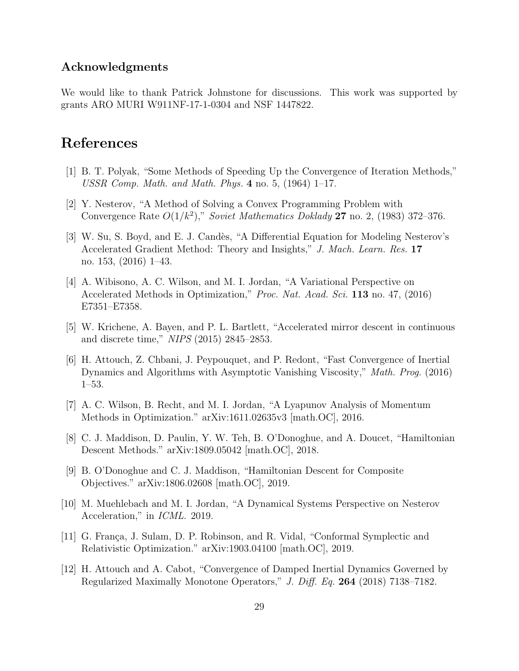## Acknowledgments

We would like to thank Patrick Johnstone for discussions. This work was supported by grants ARO MURI W911NF-17-1-0304 and NSF 1447822.

## References

- [1] B. T. Polyak, "Some Methods of Speeding Up the Convergence of Iteration Methods," USSR Comp. Math. and Math. Phys. 4 no. 5,  $(1964)$  1–17.
- [2] Y. Nesterov, "A Method of Solving a Convex Programming Problem with Convergence Rate  $O(1/k^2)$ ," Soviet Mathematics Doklady 27 no. 2, (1983) 372-376.
- [3] W. Su, S. Boyd, and E. J. Candès, "A Differential Equation for Modeling Nesterov's Accelerated Gradient Method: Theory and Insights," J. Mach. Learn. Res. 17 no. 153, (2016) 1–43.
- [4] A. Wibisono, A. C. Wilson, and M. I. Jordan, "A Variational Perspective on Accelerated Methods in Optimization," Proc. Nat. Acad. Sci. 113 no. 47, (2016) E7351–E7358.
- [5] W. Krichene, A. Bayen, and P. L. Bartlett, "Accelerated mirror descent in continuous and discrete time," NIPS (2015) 2845–2853.
- [6] H. Attouch, Z. Chbani, J. Peypouquet, and P. Redont, "Fast Convergence of Inertial Dynamics and Algorithms with Asymptotic Vanishing Viscosity," Math. Prog. (2016) 1–53.
- [7] A. C. Wilson, B. Recht, and M. I. Jordan, "A Lyapunov Analysis of Momentum Methods in Optimization." arXiv:1611.02635v3 [math.OC], 2016.
- [8] C. J. Maddison, D. Paulin, Y. W. Teh, B. O'Donoghue, and A. Doucet, "Hamiltonian Descent Methods." arXiv:1809.05042 [math.OC], 2018.
- [9] B. O'Donoghue and C. J. Maddison, "Hamiltonian Descent for Composite Objectives." arXiv:1806.02608 [math.OC], 2019.
- [10] M. Muehlebach and M. I. Jordan, "A Dynamical Systems Perspective on Nesterov Acceleration," in ICML. 2019.
- [11] G. França, J. Sulam, D. P. Robinson, and R. Vidal, "Conformal Symplectic and Relativistic Optimization." arXiv:1903.04100 [math.OC], 2019.
- [12] H. Attouch and A. Cabot, "Convergence of Damped Inertial Dynamics Governed by Regularized Maximally Monotone Operators," J. Diff. Eq. 264 (2018) 7138–7182.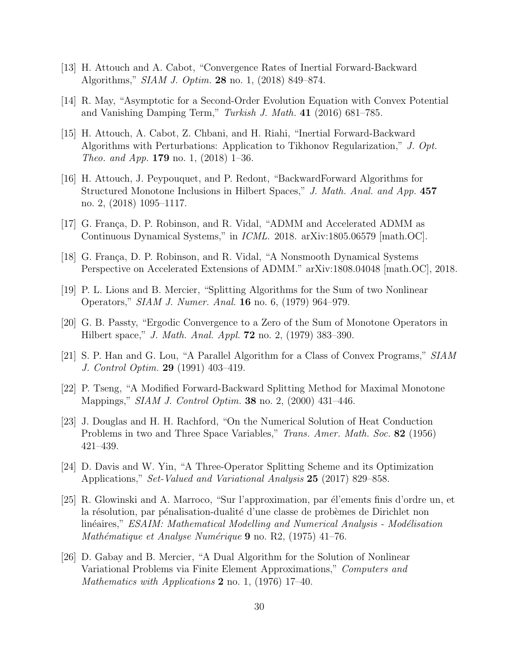- [13] H. Attouch and A. Cabot, "Convergence Rates of Inertial Forward-Backward Algorithms," SIAM J. Optim. 28 no. 1, (2018) 849–874.
- [14] R. May, "Asymptotic for a Second-Order Evolution Equation with Convex Potential and Vanishing Damping Term," Turkish J. Math. 41 (2016) 681–785.
- [15] H. Attouch, A. Cabot, Z. Chbani, and H. Riahi, "Inertial Forward-Backward Algorithms with Perturbations: Application to Tikhonov Regularization," J. Opt. *Theo. and App.* **179** no. 1, (2018) 1–36.
- [16] H. Attouch, J. Peypouquet, and P. Redont, "BackwardForward Algorithms for Structured Monotone Inclusions in Hilbert Spaces," J. Math. Anal. and App. 457 no. 2, (2018) 1095–1117.
- [17] G. França, D. P. Robinson, and R. Vidal, "ADMM and Accelerated ADMM as Continuous Dynamical Systems," in ICML. 2018. arXiv:1805.06579 [math.OC].
- [18] G. França, D. P. Robinson, and R. Vidal, "A Nonsmooth Dynamical Systems Perspective on Accelerated Extensions of ADMM." arXiv:1808.04048 [math.OC], 2018.
- [19] P. L. Lions and B. Mercier, "Splitting Algorithms for the Sum of two Nonlinear Operators," SIAM J. Numer. Anal. 16 no. 6, (1979) 964–979.
- [20] G. B. Passty, "Ergodic Convergence to a Zero of the Sum of Monotone Operators in Hilbert space," *J. Math. Anal. Appl.* **72** no. 2, (1979) 383-390.
- [21] S. P. Han and G. Lou, "A Parallel Algorithm for a Class of Convex Programs," SIAM J. Control Optim. 29 (1991) 403–419.
- [22] P. Tseng, "A Modified Forward-Backward Splitting Method for Maximal Monotone Mappings," *SIAM J. Control Optim.* **38** no. 2, (2000) 431–446.
- [23] J. Douglas and H. H. Rachford, "On the Numerical Solution of Heat Conduction Problems in two and Three Space Variables," *Trans. Amer. Math. Soc.* 82 (1956) 421–439.
- [24] D. Davis and W. Yin, "A Three-Operator Splitting Scheme and its Optimization Applications," Set-Valued and Variational Analysis 25 (2017) 829–858.
- [25] R. Glowinski and A. Marroco, "Sur l'approximation, par él'ements finis d'ordre un, et la résolution, par pénalisation-dualité d'une classe de probèmes de Dirichlet non linéaires," ESAIM: Mathematical Modelling and Numerical Analysis - Modélisation Mathématique et Analyse Numérique  $9$  no. R2, (1975) 41–76.
- [26] D. Gabay and B. Mercier, "A Dual Algorithm for the Solution of Nonlinear Variational Problems via Finite Element Approximations," Computers and Mathematics with Applications  $2$  no. 1, (1976) 17-40.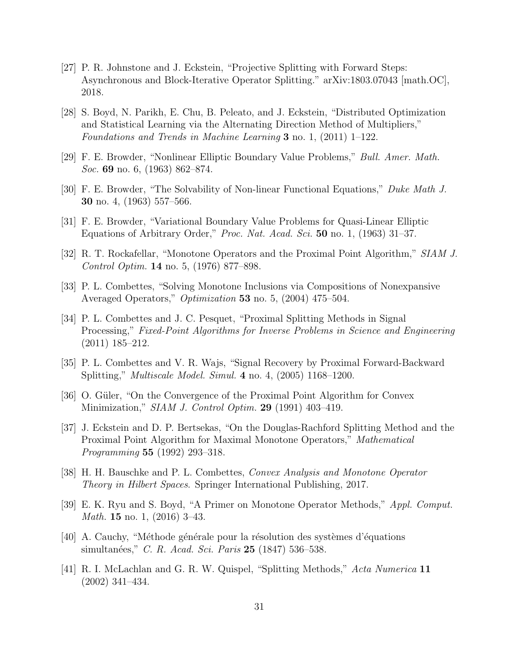- [27] P. R. Johnstone and J. Eckstein, "Projective Splitting with Forward Steps: Asynchronous and Block-Iterative Operator Splitting." arXiv:1803.07043 [math.OC], 2018.
- [28] S. Boyd, N. Parikh, E. Chu, B. Peleato, and J. Eckstein, "Distributed Optimization and Statistical Learning via the Alternating Direction Method of Multipliers," Foundations and Trends in Machine Learning 3 no. 1, (2011) 1–122.
- [29] F. E. Browder, "Nonlinear Elliptic Boundary Value Problems," Bull. Amer. Math. Soc. **69** no. 6, (1963) 862–874.
- [30] F. E. Browder, "The Solvability of Non-linear Functional Equations," Duke Math J. 30 no. 4, (1963) 557–566.
- [31] F. E. Browder, "Variational Boundary Value Problems for Quasi-Linear Elliptic Equations of Arbitrary Order," Proc. Nat. Acad. Sci. 50 no. 1, (1963) 31–37.
- [32] R. T. Rockafellar, "Monotone Operators and the Proximal Point Algorithm," SIAM J. Control Optim. 14 no. 5, (1976) 877–898.
- [33] P. L. Combettes, "Solving Monotone Inclusions via Compositions of Nonexpansive Averaged Operators," *Optimization* 53 no. 5, (2004) 475–504.
- [34] P. L. Combettes and J. C. Pesquet, "Proximal Splitting Methods in Signal Processing," Fixed-Point Algorithms for Inverse Problems in Science and Engineering (2011) 185–212.
- [35] P. L. Combettes and V. R. Wajs, "Signal Recovery by Proximal Forward-Backward Splitting," Multiscale Model. Simul. 4 no. 4, (2005) 1168–1200.
- [36] O. Güler, "On the Convergence of the Proximal Point Algorithm for Convex Minimization," *SIAM J. Control Optim.* **29** (1991) 403–419.
- [37] J. Eckstein and D. P. Bertsekas, "On the Douglas-Rachford Splitting Method and the Proximal Point Algorithm for Maximal Monotone Operators," Mathematical Programming 55 (1992) 293–318.
- [38] H. H. Bauschke and P. L. Combettes, Convex Analysis and Monotone Operator Theory in Hilbert Spaces. Springer International Publishing, 2017.
- [39] E. K. Ryu and S. Boyd, "A Primer on Monotone Operator Methods," Appl. Comput. Math. 15 no. 1, (2016) 3–43.
- [40] A. Cauchy, "Méthode générale pour la résolution des systèmes d'équations simultanées," C. R. Acad. Sci. Paris 25 (1847) 536–538.
- [41] R. I. McLachlan and G. R. W. Quispel, "Splitting Methods," Acta Numerica 11 (2002) 341–434.